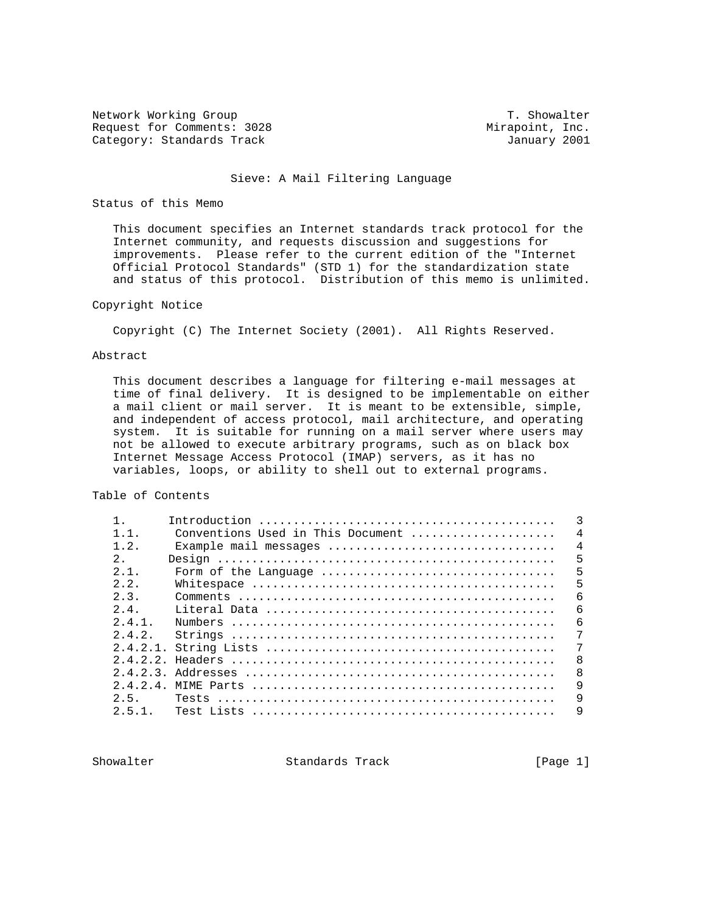Network Working Group T. Showalter Request for Comments: 3028 Mirapoint, Inc. Category: Standards Track January 2001

#### Sieve: A Mail Filtering Language

#### Status of this Memo

 This document specifies an Internet standards track protocol for the Internet community, and requests discussion and suggestions for improvements. Please refer to the current edition of the "Internet Official Protocol Standards" (STD 1) for the standardization state and status of this protocol. Distribution of this memo is unlimited.

## Copyright Notice

Copyright (C) The Internet Society (2001). All Rights Reserved.

#### Abstract

 This document describes a language for filtering e-mail messages at time of final delivery. It is designed to be implementable on either a mail client or mail server. It is meant to be extensible, simple, and independent of access protocol, mail architecture, and operating system. It is suitable for running on a mail server where users may not be allowed to execute arbitrary programs, such as on black box Internet Message Access Protocol (IMAP) servers, as it has no variables, loops, or ability to shell out to external programs.

Table of Contents

| $1\quad1$  | Conventions Used in This Document       | 4 |
|------------|-----------------------------------------|---|
| 1.2.       | Example mail messages<br>$\overline{4}$ |   |
| 2.         |                                         | 5 |
| 2.1.       | Form of the Language                    | 5 |
| 2.2.       |                                         | 5 |
| 2.3.       |                                         | 6 |
| $2\quad 4$ | 6                                       |   |
| $2.4.1$ .  |                                         | 6 |
| 2.4.2.     |                                         | 7 |
|            |                                         | 7 |
| 2.4.2.2.   | $\mathsf{B}$                            |   |
|            | 8                                       |   |
|            |                                         | 9 |
| 2.5.       |                                         | 9 |
| 251        | 9                                       |   |
|            |                                         |   |

Showalter Standards Track [Page 1]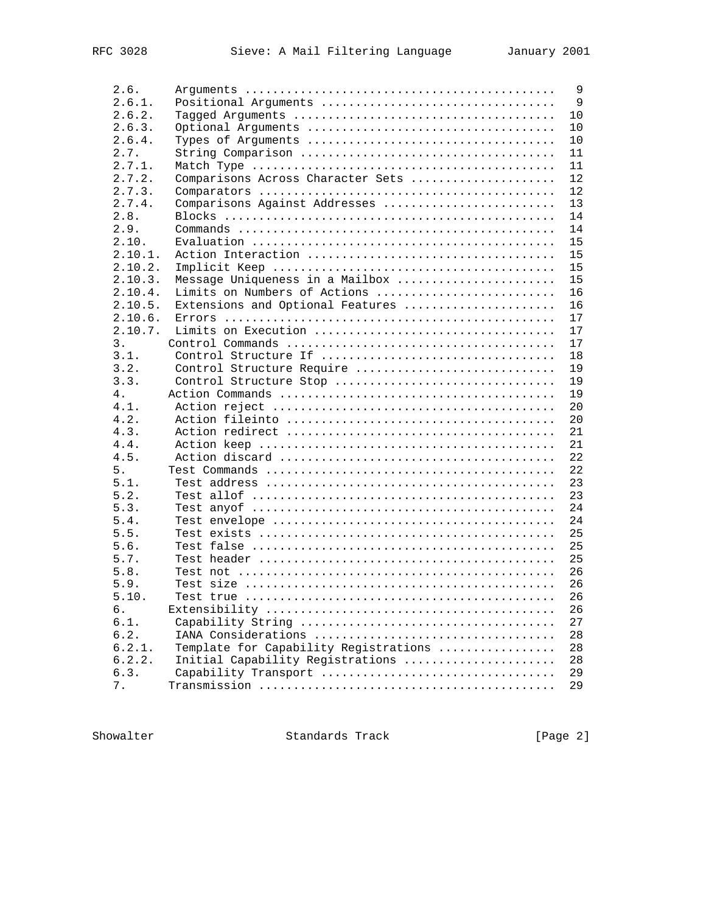| 2.6.    |                                       | $\overline{9}$ |
|---------|---------------------------------------|----------------|
| 2.6.1.  | Positional Arguments                  | 9              |
| 2.6.2.  |                                       | 10             |
| 2.6.3.  |                                       | 10             |
| 2.6.4.  |                                       | 10             |
| 2.7.    |                                       | 11             |
| 2.7.1.  |                                       | 11             |
| 2.7.2.  | Comparisons Across Character Sets     | 12             |
| 2.7.3.  |                                       | 12             |
| 2.7.4.  | Comparisons Against Addresses         | 13             |
| 2.8.    |                                       | 14             |
| 2.9.    |                                       | 14             |
| 2.10.   |                                       | 15             |
| 2.10.1. |                                       | 15             |
| 2.10.2. |                                       | 15             |
|         |                                       |                |
| 2.10.3. | Message Uniqueness in a Mailbox       | 15             |
| 2.10.4. | Limits on Numbers of Actions          | 16             |
| 2.10.5. | Extensions and Optional Features      | 16             |
| 2.10.6. |                                       | 17             |
| 2.10.7. |                                       | 17             |
| 3.      |                                       | 17             |
| 3.1.    |                                       | 18             |
| 3.2.    | Control Structure Require             | 19             |
| 3.3.    | Control Structure Stop                | 19             |
| 4.      |                                       | 19             |
| 4.1.    |                                       | 20             |
| 4.2.    |                                       | 20             |
| 4.3.    |                                       | 21             |
| 4.4.    |                                       | 21             |
| 4.5.    |                                       | 22             |
| 5.      |                                       | 22             |
| 5.1.    |                                       | 23             |
| 5.2.    |                                       | 23             |
| 5.3.    |                                       | 24             |
| 5.4.    |                                       | 24             |
| 5.5.    |                                       | 25             |
| 5.6.    |                                       | 25             |
| 5.7.    |                                       | 25             |
| 5.8.    |                                       | 26             |
| 5.9.    |                                       | 26             |
| 5.10.   |                                       | 26             |
| б.      |                                       | 26             |
| 6.1.    |                                       | 27             |
| 6.2.    |                                       | 28             |
| 6.2.1.  | Template for Capability Registrations | 28             |
| 6.2.2.  | Initial Capability Registrations      | 28             |
| 6.3.    |                                       | 29             |
|         | Capability Transport                  | 29             |
| 7.      |                                       |                |

Showalter Standards Track [Page 2]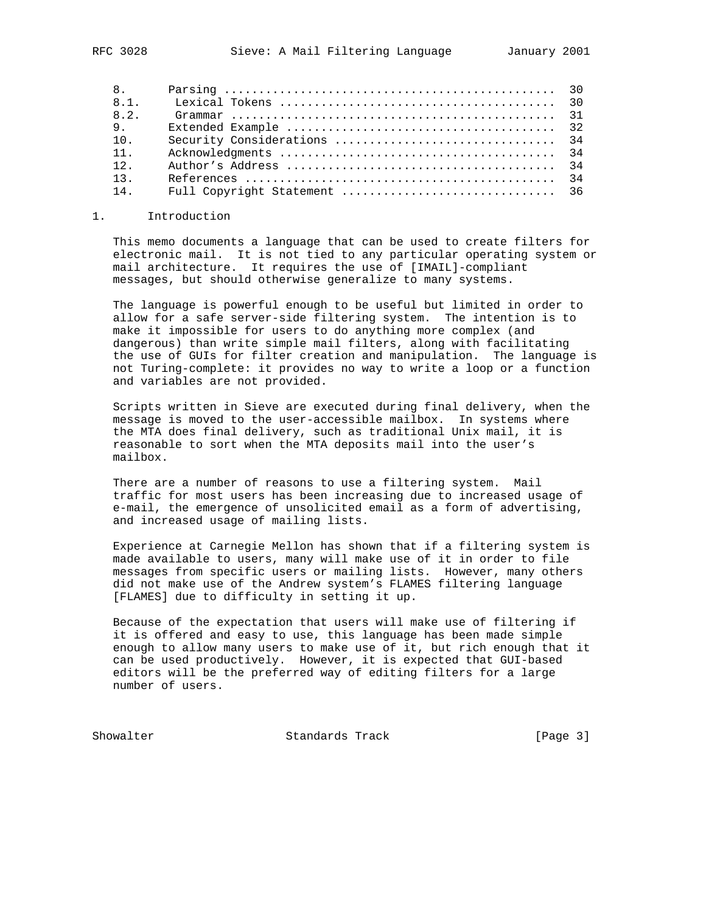| 8.   |  |
|------|--|
| 8.1. |  |
| 8.2. |  |
| 9.   |  |
| 10.  |  |
| 11.  |  |
| 12.  |  |
| 13.  |  |
| 14.  |  |

#### 1. Introduction

 This memo documents a language that can be used to create filters for electronic mail. It is not tied to any particular operating system or mail architecture. It requires the use of [IMAIL]-compliant messages, but should otherwise generalize to many systems.

 The language is powerful enough to be useful but limited in order to allow for a safe server-side filtering system. The intention is to make it impossible for users to do anything more complex (and dangerous) than write simple mail filters, along with facilitating the use of GUIs for filter creation and manipulation. The language is not Turing-complete: it provides no way to write a loop or a function and variables are not provided.

 Scripts written in Sieve are executed during final delivery, when the message is moved to the user-accessible mailbox. In systems where the MTA does final delivery, such as traditional Unix mail, it is reasonable to sort when the MTA deposits mail into the user's mailbox.

 There are a number of reasons to use a filtering system. Mail traffic for most users has been increasing due to increased usage of e-mail, the emergence of unsolicited email as a form of advertising, and increased usage of mailing lists.

 Experience at Carnegie Mellon has shown that if a filtering system is made available to users, many will make use of it in order to file messages from specific users or mailing lists. However, many others did not make use of the Andrew system's FLAMES filtering language [FLAMES] due to difficulty in setting it up.

 Because of the expectation that users will make use of filtering if it is offered and easy to use, this language has been made simple enough to allow many users to make use of it, but rich enough that it can be used productively. However, it is expected that GUI-based editors will be the preferred way of editing filters for a large number of users.

Showalter Standards Track [Page 3]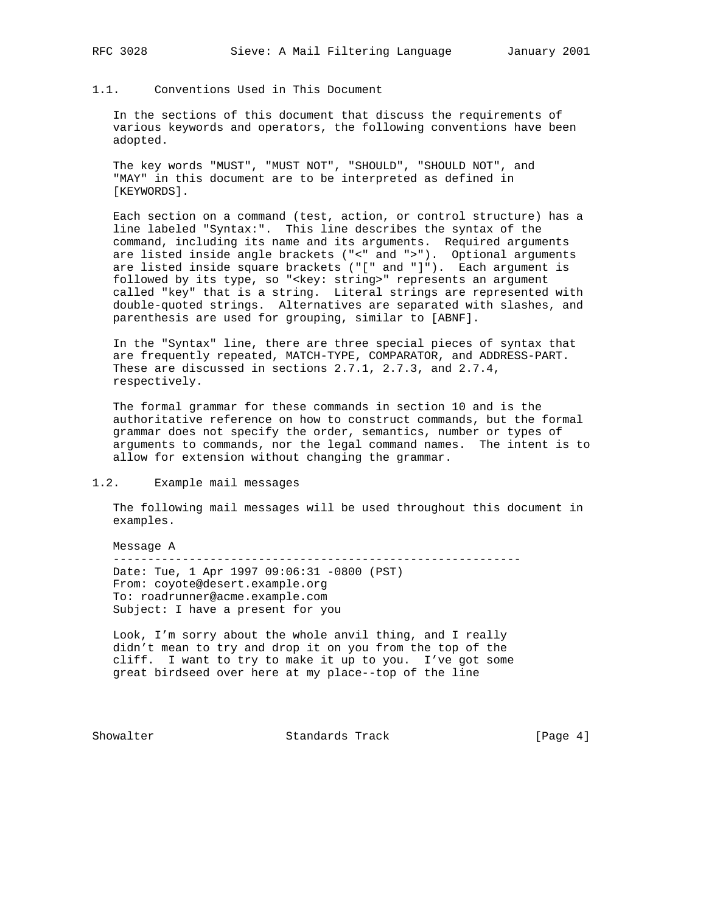## 1.1. Conventions Used in This Document

 In the sections of this document that discuss the requirements of various keywords and operators, the following conventions have been adopted.

 The key words "MUST", "MUST NOT", "SHOULD", "SHOULD NOT", and "MAY" in this document are to be interpreted as defined in [KEYWORDS].

 Each section on a command (test, action, or control structure) has a line labeled "Syntax:". This line describes the syntax of the command, including its name and its arguments. Required arguments are listed inside angle brackets ("<" and ">"). Optional arguments are listed inside square brackets ("[" and "]"). Each argument is followed by its type, so "<key: string>" represents an argument called "key" that is a string. Literal strings are represented with double-quoted strings. Alternatives are separated with slashes, and parenthesis are used for grouping, similar to [ABNF].

 In the "Syntax" line, there are three special pieces of syntax that are frequently repeated, MATCH-TYPE, COMPARATOR, and ADDRESS-PART. These are discussed in sections 2.7.1, 2.7.3, and 2.7.4, respectively.

 The formal grammar for these commands in section 10 and is the authoritative reference on how to construct commands, but the formal grammar does not specify the order, semantics, number or types of arguments to commands, nor the legal command names. The intent is to allow for extension without changing the grammar.

#### 1.2. Example mail messages

 The following mail messages will be used throughout this document in examples.

 Message A ----------------------------------------------------------- Date: Tue, 1 Apr 1997 09:06:31 -0800 (PST) From: coyote@desert.example.org To: roadrunner@acme.example.com Subject: I have a present for you

 Look, I'm sorry about the whole anvil thing, and I really didn't mean to try and drop it on you from the top of the cliff. I want to try to make it up to you. I've got some great birdseed over here at my place--top of the line

Showalter Standards Track [Page 4]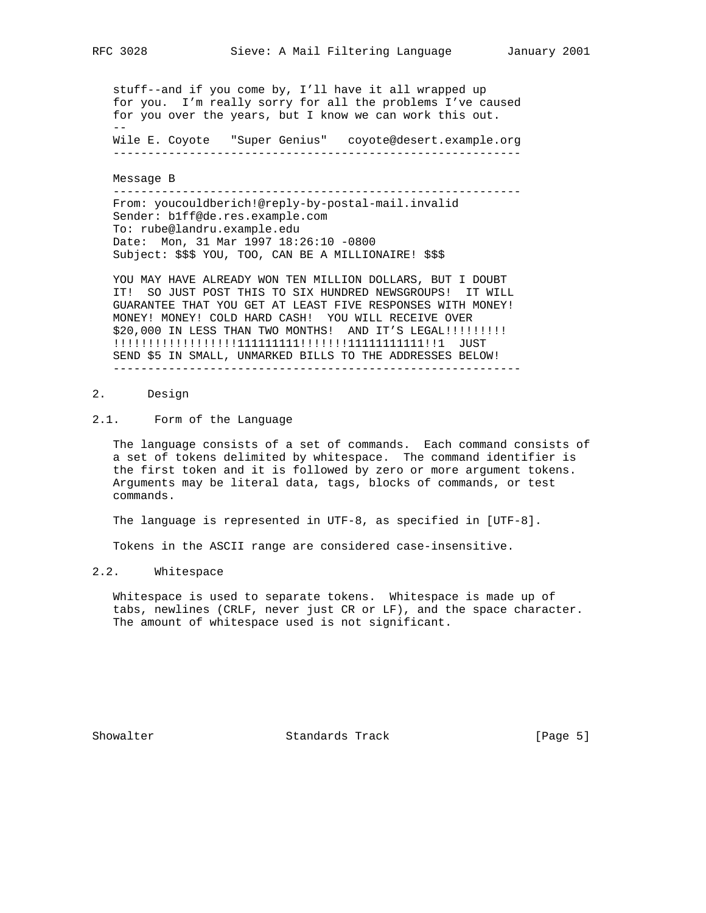stuff--and if you come by, I'll have it all wrapped up for you. I'm really sorry for all the problems I've caused for you over the years, but I know we can work this out. -- Wile E. Coyote "Super Genius" coyote@desert.example.org

-----------------------------------------------------------

Message B

 ----------------------------------------------------------- From: youcouldberich!@reply-by-postal-mail.invalid Sender: b1ff@de.res.example.com To: rube@landru.example.edu Date: Mon, 31 Mar 1997 18:26:10 -0800 Subject: \$\$\$ YOU, TOO, CAN BE A MILLIONAIRE! \$\$\$

 YOU MAY HAVE ALREADY WON TEN MILLION DOLLARS, BUT I DOUBT IT! SO JUST POST THIS TO SIX HUNDRED NEWSGROUPS! IT WILL GUARANTEE THAT YOU GET AT LEAST FIVE RESPONSES WITH MONEY! MONEY! MONEY! COLD HARD CASH! YOU WILL RECEIVE OVER \$20,000 IN LESS THAN TWO MONTHS! AND IT'S LEGAL!!!!!!!!!! !!!!!!!!!!!!!!!!!!111111111!!!!!!!11111111111!!1 JUST SEND \$5 IN SMALL, UNMARKED BILLS TO THE ADDRESSES BELOW! -----------------------------------------------------------

#### 2. Design

#### 2.1. Form of the Language

 The language consists of a set of commands. Each command consists of a set of tokens delimited by whitespace. The command identifier is the first token and it is followed by zero or more argument tokens. Arguments may be literal data, tags, blocks of commands, or test commands.

The language is represented in UTF-8, as specified in [UTF-8].

Tokens in the ASCII range are considered case-insensitive.

#### 2.2. Whitespace

 Whitespace is used to separate tokens. Whitespace is made up of tabs, newlines (CRLF, never just CR or LF), and the space character. The amount of whitespace used is not significant.

Showalter Standards Track [Page 5]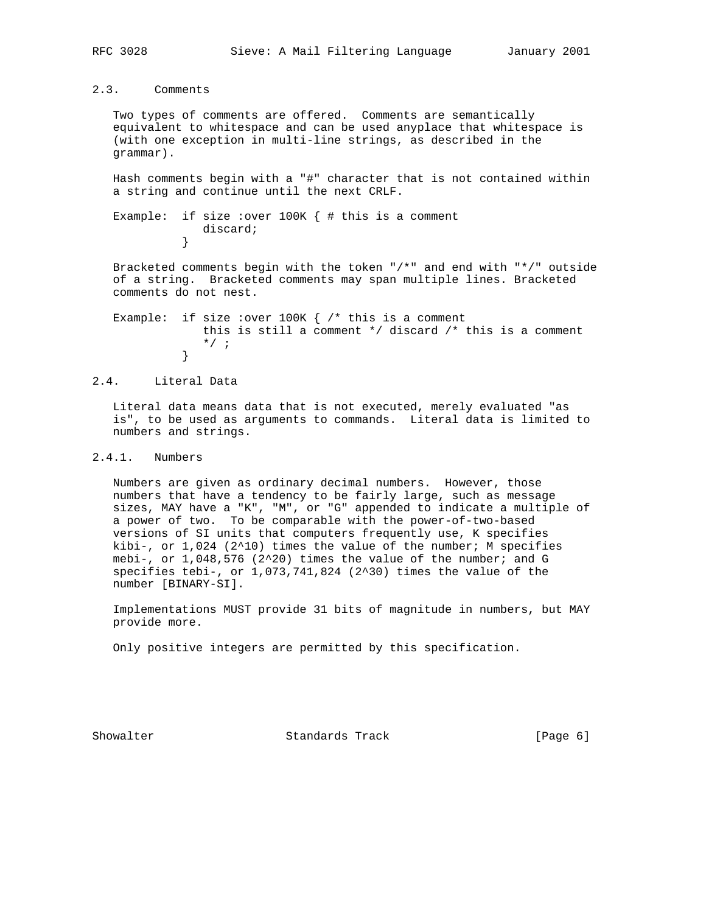2.3. Comments

 Two types of comments are offered. Comments are semantically equivalent to whitespace and can be used anyplace that whitespace is (with one exception in multi-line strings, as described in the grammar).

 Hash comments begin with a "#" character that is not contained within a string and continue until the next CRLF.

```
Example: if size : over 100K { # this is a comment
           discard;<br>}
 }
```
 Bracketed comments begin with the token "/\*" and end with "\*/" outside of a string. Bracketed comments may span multiple lines. Bracketed comments do not nest.

Example: if size : over 100K  $\{$  /\* this is a comment this is still a comment \*/ discard /\* this is a comment  $\begin{matrix} \star / & ; \\ \downarrow \end{matrix}$ }

#### 2.4. Literal Data

 Literal data means data that is not executed, merely evaluated "as is", to be used as arguments to commands. Literal data is limited to numbers and strings.

#### 2.4.1. Numbers

 Numbers are given as ordinary decimal numbers. However, those numbers that have a tendency to be fairly large, such as message sizes, MAY have a "K", "M", or "G" appended to indicate a multiple of a power of two. To be comparable with the power-of-two-based versions of SI units that computers frequently use, K specifies kibi-, or  $1,024$  (2^10) times the value of the number; M specifies mebi-, or  $1,048,576$  (2^20) times the value of the number; and G specifies tebi-, or  $1,073,741,824$   $(2^30)$  times the value of the number [BINARY-SI].

 Implementations MUST provide 31 bits of magnitude in numbers, but MAY provide more.

Only positive integers are permitted by this specification.

Showalter Standards Track [Page 6]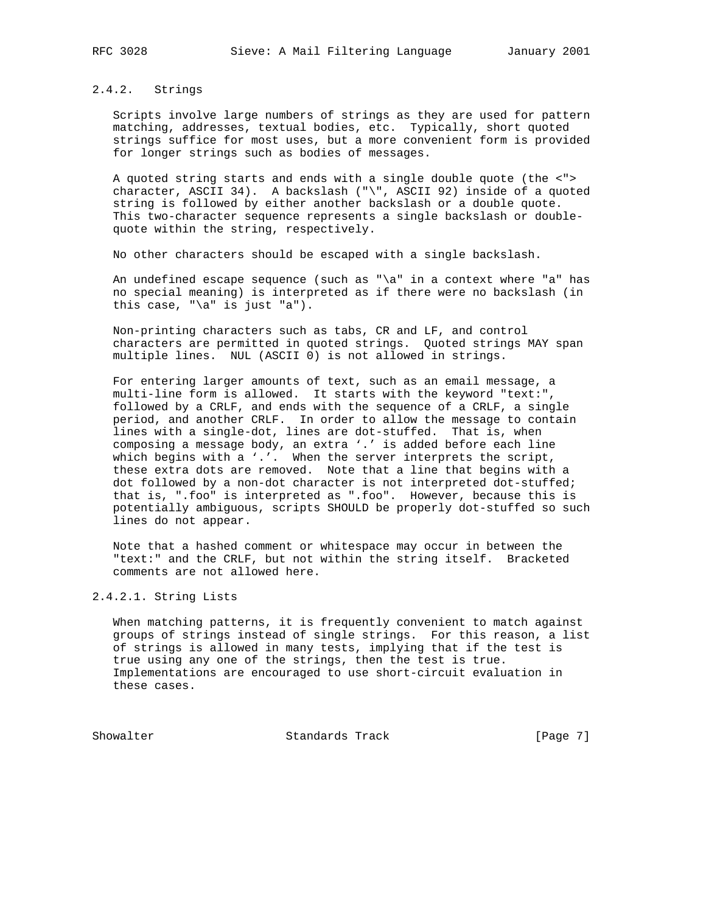#### 2.4.2. Strings

 Scripts involve large numbers of strings as they are used for pattern matching, addresses, textual bodies, etc. Typically, short quoted strings suffice for most uses, but a more convenient form is provided for longer strings such as bodies of messages.

 A quoted string starts and ends with a single double quote (the <"> character, ASCII 34). A backslash ("\", ASCII 92) inside of a quoted string is followed by either another backslash or a double quote. This two-character sequence represents a single backslash or double quote within the string, respectively.

No other characters should be escaped with a single backslash.

 An undefined escape sequence (such as "\a" in a context where "a" has no special meaning) is interpreted as if there were no backslash (in this case, "\a" is just "a").

 Non-printing characters such as tabs, CR and LF, and control characters are permitted in quoted strings. Quoted strings MAY span multiple lines. NUL (ASCII 0) is not allowed in strings.

 For entering larger amounts of text, such as an email message, a multi-line form is allowed. It starts with the keyword "text:", followed by a CRLF, and ends with the sequence of a CRLF, a single period, and another CRLF. In order to allow the message to contain lines with a single-dot, lines are dot-stuffed. That is, when composing a message body, an extra '.' is added before each line which begins with a '.'. When the server interprets the script, these extra dots are removed. Note that a line that begins with a dot followed by a non-dot character is not interpreted dot-stuffed; that is, ".foo" is interpreted as ".foo". However, because this is potentially ambiguous, scripts SHOULD be properly dot-stuffed so such lines do not appear.

 Note that a hashed comment or whitespace may occur in between the "text:" and the CRLF, but not within the string itself. Bracketed comments are not allowed here.

## 2.4.2.1. String Lists

 When matching patterns, it is frequently convenient to match against groups of strings instead of single strings. For this reason, a list of strings is allowed in many tests, implying that if the test is true using any one of the strings, then the test is true. Implementations are encouraged to use short-circuit evaluation in these cases.

Showalter Standards Track [Page 7]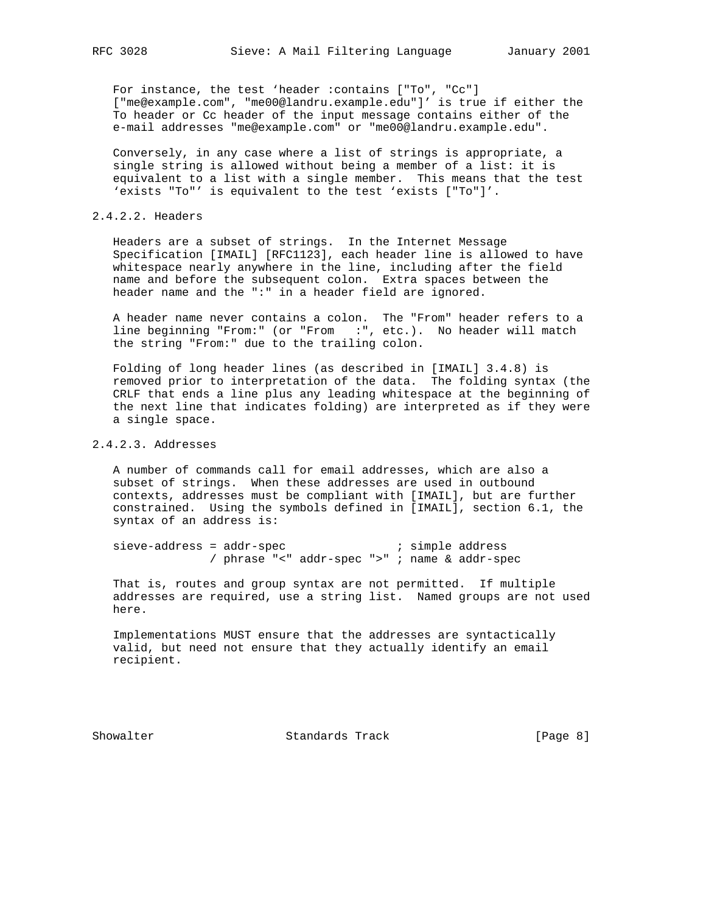For instance, the test 'header :contains ["To", "Cc"] ["me@example.com", "me00@landru.example.edu"]' is true if either the To header or Cc header of the input message contains either of the e-mail addresses "me@example.com" or "me00@landru.example.edu".

 Conversely, in any case where a list of strings is appropriate, a single string is allowed without being a member of a list: it is equivalent to a list with a single member. This means that the test 'exists "To"' is equivalent to the test 'exists ["To"]'.

#### 2.4.2.2. Headers

 Headers are a subset of strings. In the Internet Message Specification [IMAIL] [RFC1123], each header line is allowed to have whitespace nearly anywhere in the line, including after the field name and before the subsequent colon. Extra spaces between the header name and the ":" in a header field are ignored.

 A header name never contains a colon. The "From" header refers to a line beginning "From:" (or "From :", etc.). No header will match the string "From:" due to the trailing colon.

 Folding of long header lines (as described in [IMAIL] 3.4.8) is removed prior to interpretation of the data. The folding syntax (the CRLF that ends a line plus any leading whitespace at the beginning of the next line that indicates folding) are interpreted as if they were a single space.

## 2.4.2.3. Addresses

 A number of commands call for email addresses, which are also a subset of strings. When these addresses are used in outbound contexts, addresses must be compliant with [IMAIL], but are further constrained. Using the symbols defined in [IMAIL], section 6.1, the syntax of an address is:

sieve-address = addr-spec ; simple address / phrase "<" addr-spec ">" ; name & addr-spec

 That is, routes and group syntax are not permitted. If multiple addresses are required, use a string list. Named groups are not used here.

 Implementations MUST ensure that the addresses are syntactically valid, but need not ensure that they actually identify an email recipient.

Showalter Standards Track [Page 8]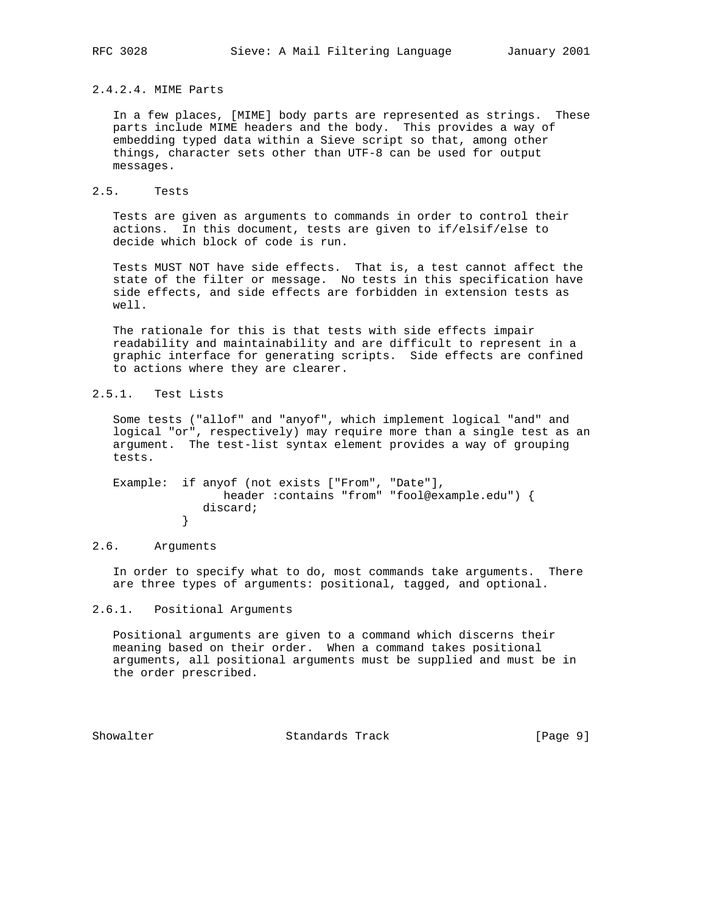## 2.4.2.4. MIME Parts

 In a few places, [MIME] body parts are represented as strings. These parts include MIME headers and the body. This provides a way of embedding typed data within a Sieve script so that, among other things, character sets other than UTF-8 can be used for output messages.

## 2.5. Tests

 Tests are given as arguments to commands in order to control their actions. In this document, tests are given to if/elsif/else to decide which block of code is run.

 Tests MUST NOT have side effects. That is, a test cannot affect the state of the filter or message. No tests in this specification have side effects, and side effects are forbidden in extension tests as well.

 The rationale for this is that tests with side effects impair readability and maintainability and are difficult to represent in a graphic interface for generating scripts. Side effects are confined to actions where they are clearer.

# 2.5.1. Test Lists

 Some tests ("allof" and "anyof", which implement logical "and" and logical "or", respectively) may require more than a single test as an argument. The test-list syntax element provides a way of grouping tests.

 Example: if anyof (not exists ["From", "Date"], header :contains "from" "fool@example.edu") { discard;<br>} }

### 2.6. Arguments

 In order to specify what to do, most commands take arguments. There are three types of arguments: positional, tagged, and optional.

## 2.6.1. Positional Arguments

 Positional arguments are given to a command which discerns their meaning based on their order. When a command takes positional arguments, all positional arguments must be supplied and must be in the order prescribed.

Showalter Standards Track [Page 9]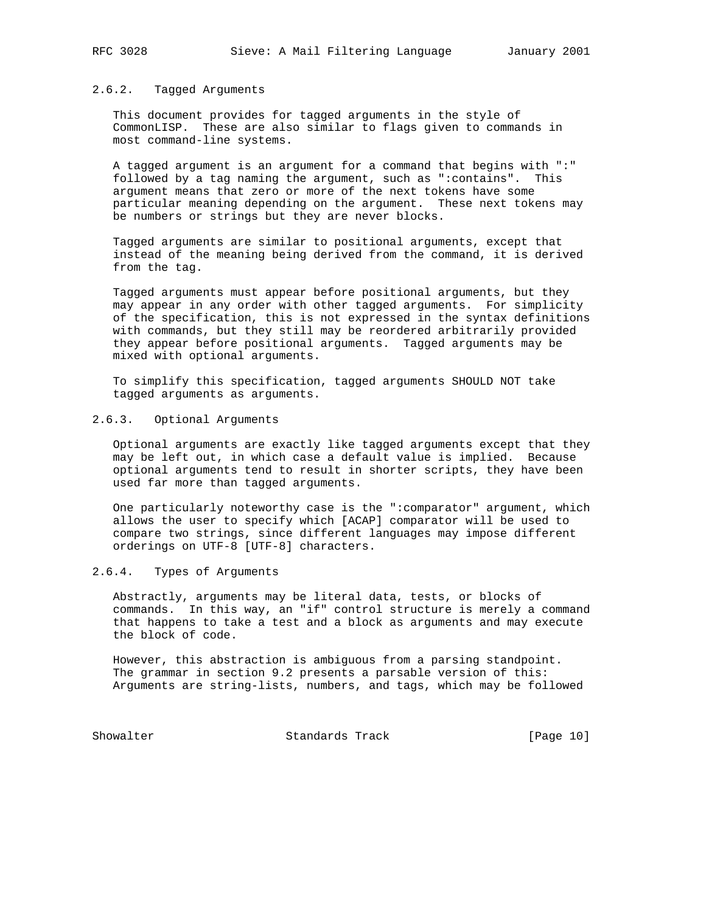#### 2.6.2. Tagged Arguments

 This document provides for tagged arguments in the style of CommonLISP. These are also similar to flags given to commands in most command-line systems.

 A tagged argument is an argument for a command that begins with ":" followed by a tag naming the argument, such as ":contains". This argument means that zero or more of the next tokens have some particular meaning depending on the argument. These next tokens may be numbers or strings but they are never blocks.

 Tagged arguments are similar to positional arguments, except that instead of the meaning being derived from the command, it is derived from the tag.

 Tagged arguments must appear before positional arguments, but they may appear in any order with other tagged arguments. For simplicity of the specification, this is not expressed in the syntax definitions with commands, but they still may be reordered arbitrarily provided they appear before positional arguments. Tagged arguments may be mixed with optional arguments.

 To simplify this specification, tagged arguments SHOULD NOT take tagged arguments as arguments.

## 2.6.3. Optional Arguments

 Optional arguments are exactly like tagged arguments except that they may be left out, in which case a default value is implied. Because optional arguments tend to result in shorter scripts, they have been used far more than tagged arguments.

 One particularly noteworthy case is the ":comparator" argument, which allows the user to specify which [ACAP] comparator will be used to compare two strings, since different languages may impose different orderings on UTF-8 [UTF-8] characters.

# 2.6.4. Types of Arguments

 Abstractly, arguments may be literal data, tests, or blocks of commands. In this way, an "if" control structure is merely a command that happens to take a test and a block as arguments and may execute the block of code.

 However, this abstraction is ambiguous from a parsing standpoint. The grammar in section 9.2 presents a parsable version of this: Arguments are string-lists, numbers, and tags, which may be followed

Showalter Standards Track [Page 10]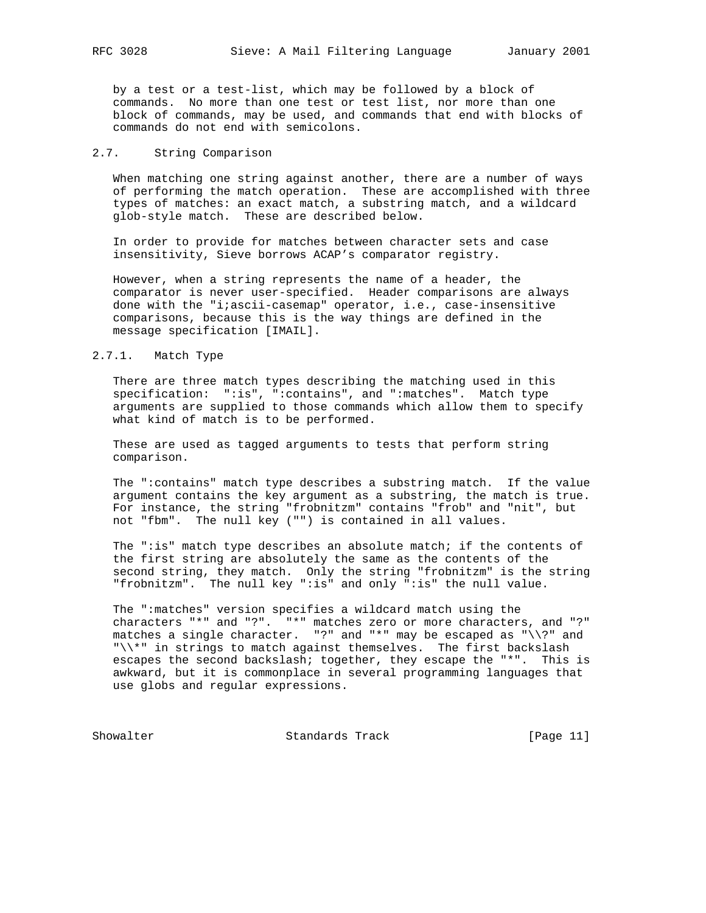by a test or a test-list, which may be followed by a block of commands. No more than one test or test list, nor more than one block of commands, may be used, and commands that end with blocks of commands do not end with semicolons.

#### 2.7. String Comparison

 When matching one string against another, there are a number of ways of performing the match operation. These are accomplished with three types of matches: an exact match, a substring match, and a wildcard glob-style match. These are described below.

 In order to provide for matches between character sets and case insensitivity, Sieve borrows ACAP's comparator registry.

 However, when a string represents the name of a header, the comparator is never user-specified. Header comparisons are always done with the "i;ascii-casemap" operator, i.e., case-insensitive comparisons, because this is the way things are defined in the message specification [IMAIL].

#### 2.7.1. Match Type

 There are three match types describing the matching used in this specification: ":is", ":contains", and ":matches". Match type arguments are supplied to those commands which allow them to specify what kind of match is to be performed.

 These are used as tagged arguments to tests that perform string comparison.

 The ":contains" match type describes a substring match. If the value argument contains the key argument as a substring, the match is true. For instance, the string "frobnitzm" contains "frob" and "nit", but not "fbm". The null key ("") is contained in all values.

 The ":is" match type describes an absolute match; if the contents of the first string are absolutely the same as the contents of the second string, they match. Only the string "frobnitzm" is the string "frobnitzm". The null key ":is" and only ":is" the null value.

 The ":matches" version specifies a wildcard match using the characters "\*" and "?". "\*" matches zero or more characters, and "?" matches a single character. "?" and "\*" may be escaped as " $\backslash$ ?" and "\\\*" in strings to match against themselves. The first backslash escapes the second backslash; together, they escape the "\*". This is awkward, but it is commonplace in several programming languages that use globs and regular expressions.

Showalter Standards Track [Page 11]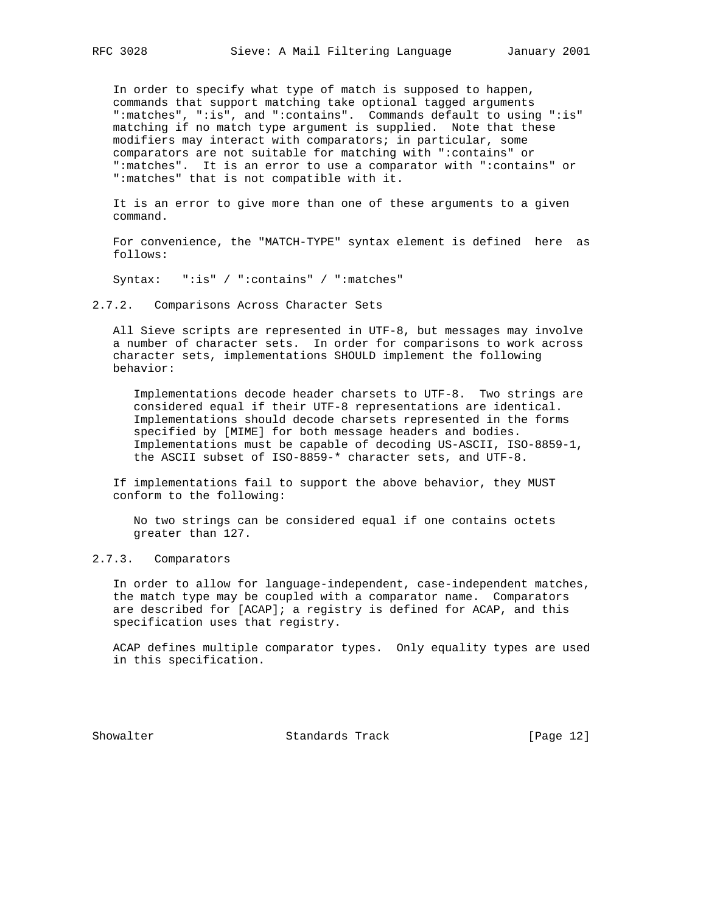In order to specify what type of match is supposed to happen, commands that support matching take optional tagged arguments ":matches", ":is", and ":contains". Commands default to using ":is" matching if no match type argument is supplied. Note that these modifiers may interact with comparators; in particular, some comparators are not suitable for matching with ":contains" or ":matches". It is an error to use a comparator with ":contains" or ":matches" that is not compatible with it.

 It is an error to give more than one of these arguments to a given command.

 For convenience, the "MATCH-TYPE" syntax element is defined here as follows:

Syntax: ":is" / ":contains" / ":matches"

2.7.2. Comparisons Across Character Sets

 All Sieve scripts are represented in UTF-8, but messages may involve a number of character sets. In order for comparisons to work across character sets, implementations SHOULD implement the following behavior:

 Implementations decode header charsets to UTF-8. Two strings are considered equal if their UTF-8 representations are identical. Implementations should decode charsets represented in the forms specified by [MIME] for both message headers and bodies. Implementations must be capable of decoding US-ASCII, ISO-8859-1, the ASCII subset of ISO-8859-\* character sets, and UTF-8.

 If implementations fail to support the above behavior, they MUST conform to the following:

 No two strings can be considered equal if one contains octets greater than 127.

### 2.7.3. Comparators

 In order to allow for language-independent, case-independent matches, the match type may be coupled with a comparator name. Comparators are described for [ACAP]; a registry is defined for ACAP, and this specification uses that registry.

 ACAP defines multiple comparator types. Only equality types are used in this specification.

Showalter Standards Track [Page 12]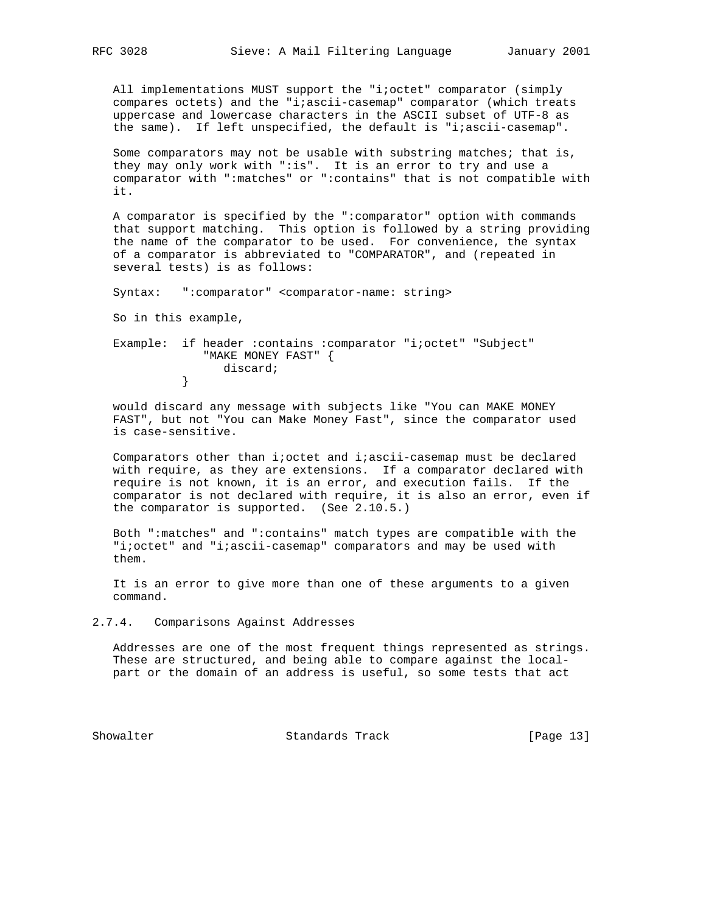All implementations MUST support the "i;octet" comparator (simply compares octets) and the "i;ascii-casemap" comparator (which treats uppercase and lowercase characters in the ASCII subset of UTF-8 as the same). If left unspecified, the default is "i;ascii-casemap".

 Some comparators may not be usable with substring matches; that is, they may only work with ":is". It is an error to try and use a comparator with ":matches" or ":contains" that is not compatible with it.

 A comparator is specified by the ":comparator" option with commands that support matching. This option is followed by a string providing the name of the comparator to be used. For convenience, the syntax of a comparator is abbreviated to "COMPARATOR", and (repeated in several tests) is as follows:

Syntax: ":comparator" <comparator-name: string>

So in this example,

 Example: if header :contains :comparator "i;octet" "Subject" "MAKE MONEY FAST" { discard; }

 would discard any message with subjects like "You can MAKE MONEY FAST", but not "You can Make Money Fast", since the comparator used is case-sensitive.

 Comparators other than i;octet and i;ascii-casemap must be declared with require, as they are extensions. If a comparator declared with require is not known, it is an error, and execution fails. If the comparator is not declared with require, it is also an error, even if the comparator is supported. (See 2.10.5.)

 Both ":matches" and ":contains" match types are compatible with the "i;octet" and "i;ascii-casemap" comparators and may be used with them.

 It is an error to give more than one of these arguments to a given command.

2.7.4. Comparisons Against Addresses

 Addresses are one of the most frequent things represented as strings. These are structured, and being able to compare against the local part or the domain of an address is useful, so some tests that act

Showalter Standards Track [Page 13]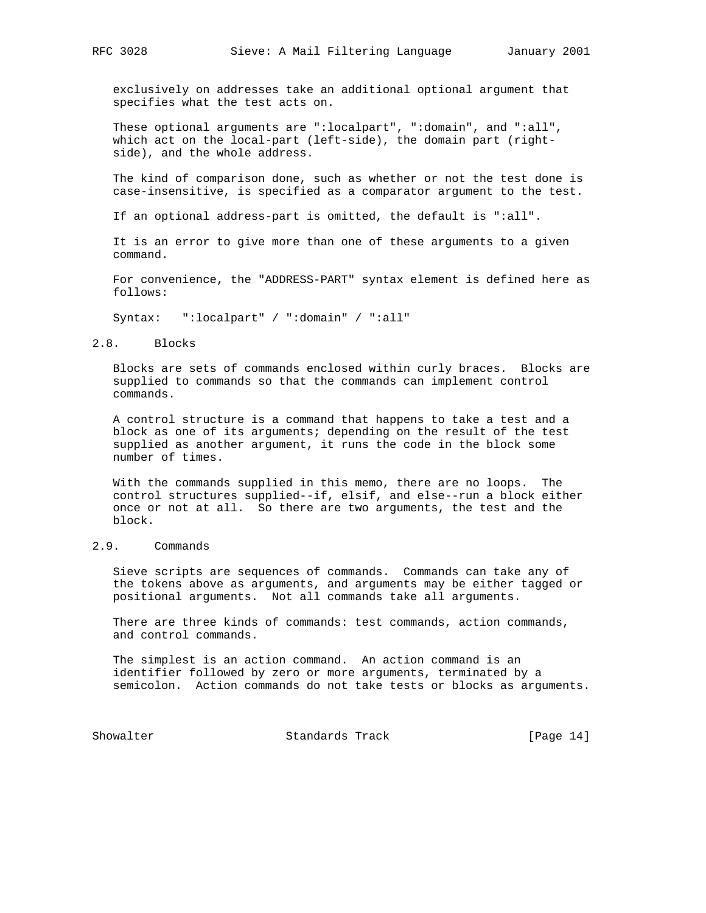exclusively on addresses take an additional optional argument that specifies what the test acts on.

 These optional arguments are ":localpart", ":domain", and ":all", which act on the local-part (left-side), the domain part (right side), and the whole address.

 The kind of comparison done, such as whether or not the test done is case-insensitive, is specified as a comparator argument to the test.

If an optional address-part is omitted, the default is ":all".

 It is an error to give more than one of these arguments to a given command.

 For convenience, the "ADDRESS-PART" syntax element is defined here as follows:

Syntax: ":localpart" / ":domain" / ":all"

#### 2.8. Blocks

 Blocks are sets of commands enclosed within curly braces. Blocks are supplied to commands so that the commands can implement control commands.

 A control structure is a command that happens to take a test and a block as one of its arguments; depending on the result of the test supplied as another argument, it runs the code in the block some number of times.

 With the commands supplied in this memo, there are no loops. The control structures supplied--if, elsif, and else--run a block either once or not at all. So there are two arguments, the test and the block.

## 2.9. Commands

 Sieve scripts are sequences of commands. Commands can take any of the tokens above as arguments, and arguments may be either tagged or positional arguments. Not all commands take all arguments.

 There are three kinds of commands: test commands, action commands, and control commands.

 The simplest is an action command. An action command is an identifier followed by zero or more arguments, terminated by a semicolon. Action commands do not take tests or blocks as arguments.

Showalter Standards Track [Page 14]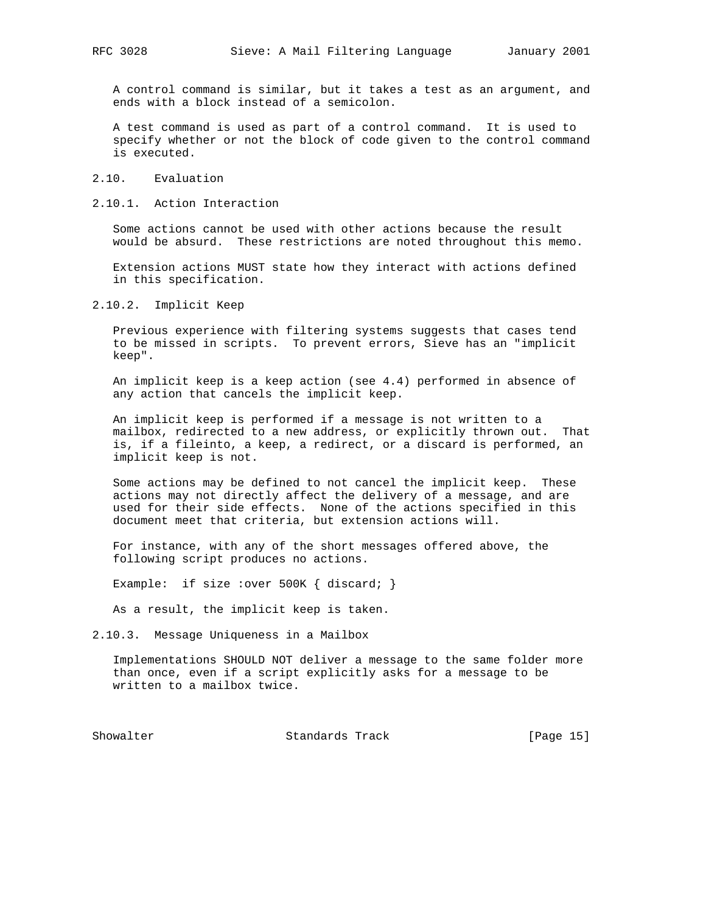A control command is similar, but it takes a test as an argument, and ends with a block instead of a semicolon.

 A test command is used as part of a control command. It is used to specify whether or not the block of code given to the control command is executed.

2.10. Evaluation

2.10.1. Action Interaction

 Some actions cannot be used with other actions because the result would be absurd. These restrictions are noted throughout this memo.

 Extension actions MUST state how they interact with actions defined in this specification.

2.10.2. Implicit Keep

 Previous experience with filtering systems suggests that cases tend to be missed in scripts. To prevent errors, Sieve has an "implicit keep".

 An implicit keep is a keep action (see 4.4) performed in absence of any action that cancels the implicit keep.

 An implicit keep is performed if a message is not written to a mailbox, redirected to a new address, or explicitly thrown out. That is, if a fileinto, a keep, a redirect, or a discard is performed, an implicit keep is not.

 Some actions may be defined to not cancel the implicit keep. These actions may not directly affect the delivery of a message, and are used for their side effects. None of the actions specified in this document meet that criteria, but extension actions will.

 For instance, with any of the short messages offered above, the following script produces no actions.

Example: if size : over 500K { discard; }

As a result, the implicit keep is taken.

2.10.3. Message Uniqueness in a Mailbox

 Implementations SHOULD NOT deliver a message to the same folder more than once, even if a script explicitly asks for a message to be written to a mailbox twice.

Showalter Standards Track [Page 15]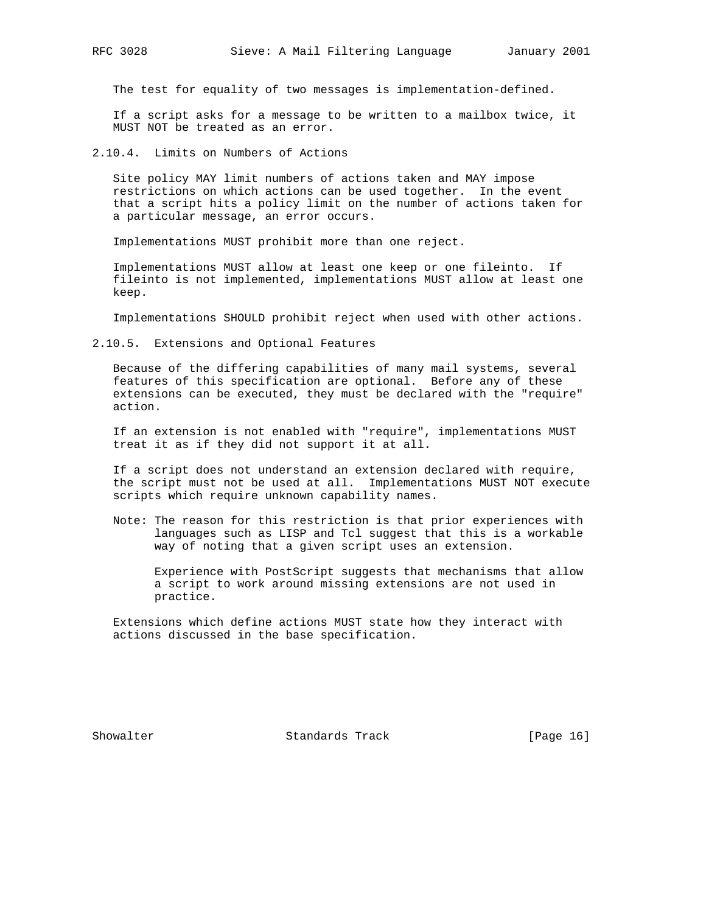The test for equality of two messages is implementation-defined.

 If a script asks for a message to be written to a mailbox twice, it MUST NOT be treated as an error.

2.10.4. Limits on Numbers of Actions

 Site policy MAY limit numbers of actions taken and MAY impose restrictions on which actions can be used together. In the event that a script hits a policy limit on the number of actions taken for a particular message, an error occurs.

Implementations MUST prohibit more than one reject.

 Implementations MUST allow at least one keep or one fileinto. If fileinto is not implemented, implementations MUST allow at least one keep.

Implementations SHOULD prohibit reject when used with other actions.

2.10.5. Extensions and Optional Features

 Because of the differing capabilities of many mail systems, several features of this specification are optional. Before any of these extensions can be executed, they must be declared with the "require" action.

 If an extension is not enabled with "require", implementations MUST treat it as if they did not support it at all.

 If a script does not understand an extension declared with require, the script must not be used at all. Implementations MUST NOT execute scripts which require unknown capability names.

 Note: The reason for this restriction is that prior experiences with languages such as LISP and Tcl suggest that this is a workable way of noting that a given script uses an extension.

 Experience with PostScript suggests that mechanisms that allow a script to work around missing extensions are not used in practice.

 Extensions which define actions MUST state how they interact with actions discussed in the base specification.

Showalter Standards Track [Page 16]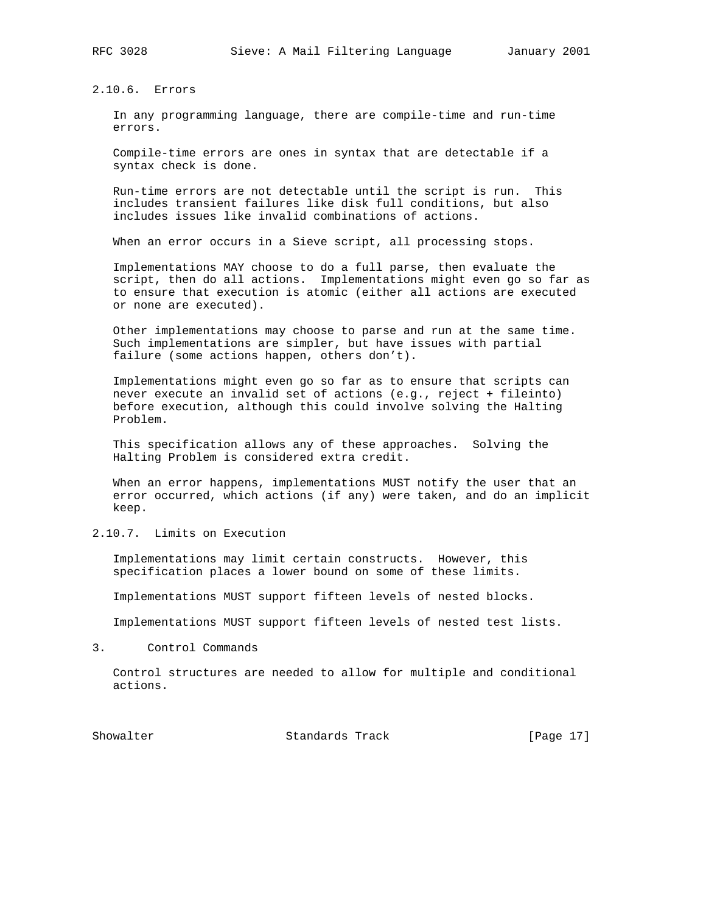2.10.6. Errors

 In any programming language, there are compile-time and run-time errors.

 Compile-time errors are ones in syntax that are detectable if a syntax check is done.

 Run-time errors are not detectable until the script is run. This includes transient failures like disk full conditions, but also includes issues like invalid combinations of actions.

When an error occurs in a Sieve script, all processing stops.

 Implementations MAY choose to do a full parse, then evaluate the script, then do all actions. Implementations might even go so far as to ensure that execution is atomic (either all actions are executed or none are executed).

 Other implementations may choose to parse and run at the same time. Such implementations are simpler, but have issues with partial failure (some actions happen, others don't).

 Implementations might even go so far as to ensure that scripts can never execute an invalid set of actions (e.g., reject + fileinto) before execution, although this could involve solving the Halting Problem.

 This specification allows any of these approaches. Solving the Halting Problem is considered extra credit.

 When an error happens, implementations MUST notify the user that an error occurred, which actions (if any) were taken, and do an implicit keep.

2.10.7. Limits on Execution

 Implementations may limit certain constructs. However, this specification places a lower bound on some of these limits.

Implementations MUST support fifteen levels of nested blocks.

Implementations MUST support fifteen levels of nested test lists.

3. Control Commands

 Control structures are needed to allow for multiple and conditional actions.

Showalter Standards Track [Page 17]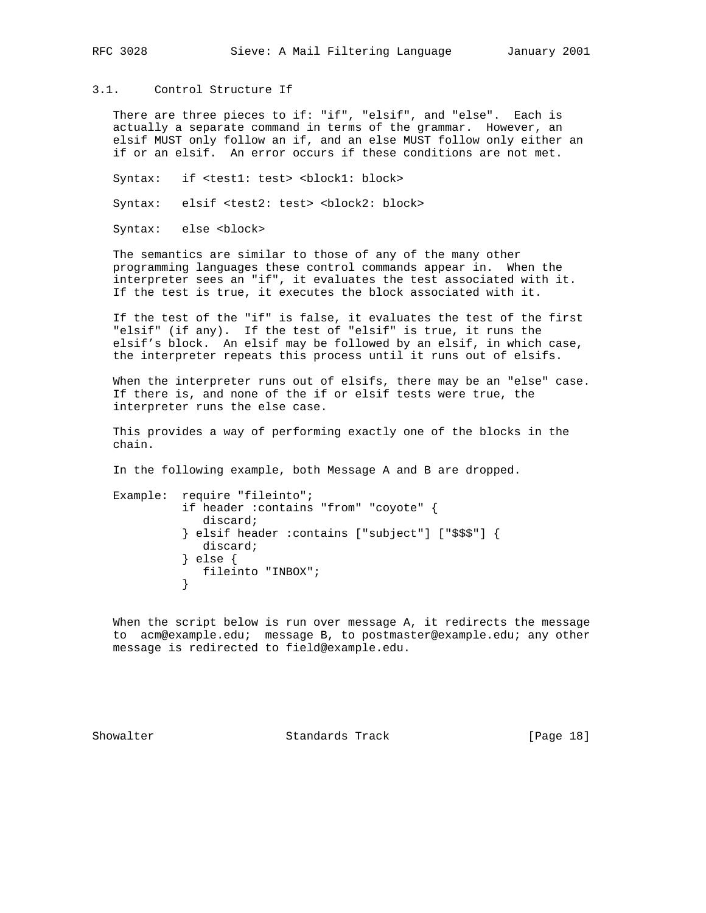## 3.1. Control Structure If

 There are three pieces to if: "if", "elsif", and "else". Each is actually a separate command in terms of the grammar. However, an elsif MUST only follow an if, and an else MUST follow only either an if or an elsif. An error occurs if these conditions are not met.

Syntax: if <test1: test> <block1: block>

Syntax: elsif <test2: test> <block2: block>

Syntax: else <block>

 The semantics are similar to those of any of the many other programming languages these control commands appear in. When the interpreter sees an "if", it evaluates the test associated with it. If the test is true, it executes the block associated with it.

 If the test of the "if" is false, it evaluates the test of the first "elsif" (if any). If the test of "elsif" is true, it runs the elsif's block. An elsif may be followed by an elsif, in which case, the interpreter repeats this process until it runs out of elsifs.

 When the interpreter runs out of elsifs, there may be an "else" case. If there is, and none of the if or elsif tests were true, the interpreter runs the else case.

 This provides a way of performing exactly one of the blocks in the chain.

In the following example, both Message A and B are dropped.

 Example: require "fileinto"; if header :contains "from" "coyote" { discard; } elsif header :contains ["subject"] ["\$\$\$"] { discard; } else { fileinto "INBOX"; }

 When the script below is run over message A, it redirects the message to acm@example.edu; message B, to postmaster@example.edu; any other message is redirected to field@example.edu.

Showalter Standards Track [Page 18]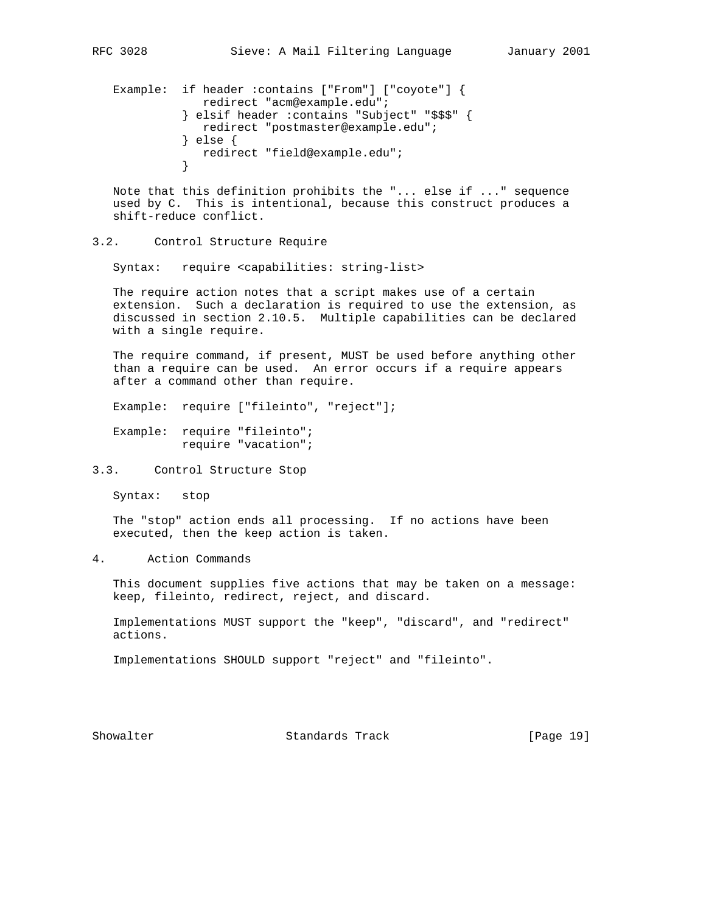Example: if header :contains ["From"] ["coyote"] { redirect "acm@example.edu"; } elsif header :contains "Subject" "\$\$\$" { redirect "postmaster@example.edu"; } else { redirect "field@example.edu"; }

 Note that this definition prohibits the "... else if ..." sequence used by C. This is intentional, because this construct produces a shift-reduce conflict.

## 3.2. Control Structure Require

Syntax: require <capabilities: string-list>

 The require action notes that a script makes use of a certain extension. Such a declaration is required to use the extension, as discussed in section 2.10.5. Multiple capabilities can be declared with a single require.

 The require command, if present, MUST be used before anything other than a require can be used. An error occurs if a require appears after a command other than require.

Example: require ["fileinto", "reject"];

 Example: require "fileinto"; require "vacation";

Syntax: stop

 The "stop" action ends all processing. If no actions have been executed, then the keep action is taken.

### 4. Action Commands

 This document supplies five actions that may be taken on a message: keep, fileinto, redirect, reject, and discard.

 Implementations MUST support the "keep", "discard", and "redirect" actions.

Implementations SHOULD support "reject" and "fileinto".

Showalter Standards Track [Page 19]

<sup>3.3.</sup> Control Structure Stop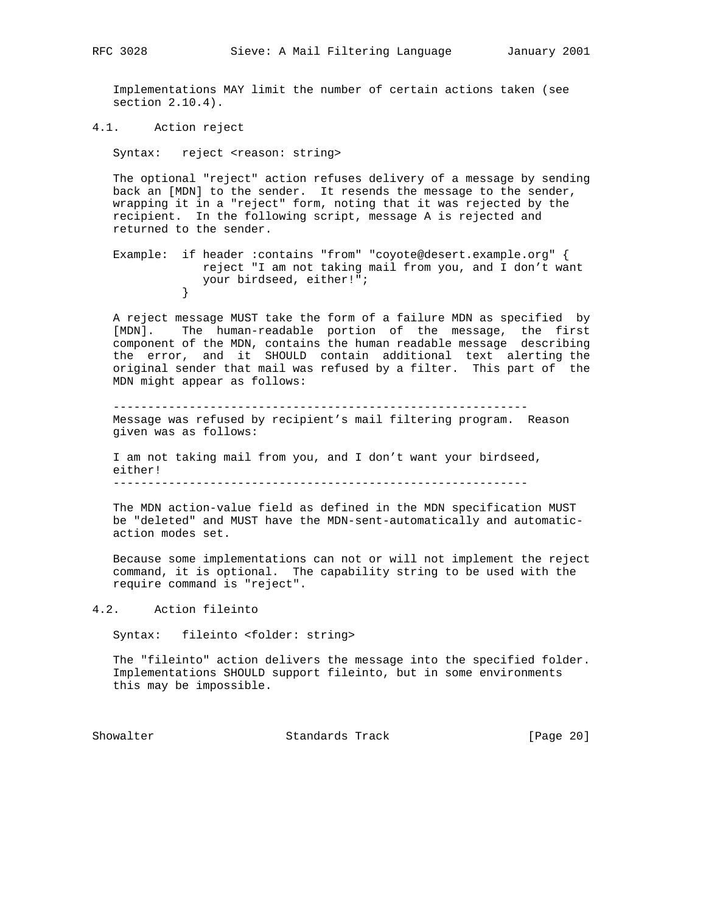Implementations MAY limit the number of certain actions taken (see section 2.10.4).

4.1. Action reject

Syntax: reject <reason: string>

 The optional "reject" action refuses delivery of a message by sending back an [MDN] to the sender. It resends the message to the sender, wrapping it in a "reject" form, noting that it was rejected by the recipient. In the following script, message A is rejected and returned to the sender.

 Example: if header :contains "from" "coyote@desert.example.org" { reject "I am not taking mail from you, and I don't want your birdseed, either!";<br>} }

 A reject message MUST take the form of a failure MDN as specified by [MDN]. The human-readable portion of the message, the first component of the MDN, contains the human readable message describing the error, and it SHOULD contain additional text alerting the original sender that mail was refused by a filter. This part of the MDN might appear as follows:

 ------------------------------------------------------------ Message was refused by recipient's mail filtering program. Reason given was as follows:

 I am not taking mail from you, and I don't want your birdseed, either! ------------------------------------------------------------

 The MDN action-value field as defined in the MDN specification MUST be "deleted" and MUST have the MDN-sent-automatically and automatic action modes set.

 Because some implementations can not or will not implement the reject command, it is optional. The capability string to be used with the require command is "reject".

4.2. Action fileinto

Syntax: fileinto <folder: string>

 The "fileinto" action delivers the message into the specified folder. Implementations SHOULD support fileinto, but in some environments this may be impossible.

Showalter **Standards Track** [Page 20]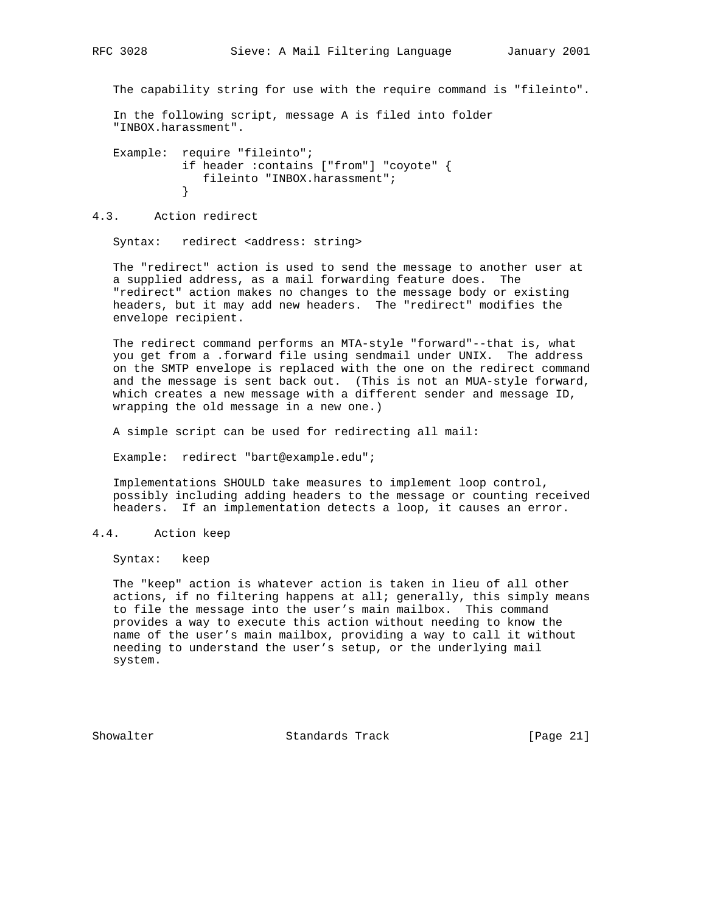The capability string for use with the require command is "fileinto".

 In the following script, message A is filed into folder "INBOX.harassment".

 Example: require "fileinto"; if header :contains ["from"] "coyote" { fileinto "INBOX.harassment";<br>} }

## 4.3. Action redirect

Syntax: redirect <address: string>

 The "redirect" action is used to send the message to another user at a supplied address, as a mail forwarding feature does. The "redirect" action makes no changes to the message body or existing headers, but it may add new headers. The "redirect" modifies the envelope recipient.

 The redirect command performs an MTA-style "forward"--that is, what you get from a .forward file using sendmail under UNIX. The address on the SMTP envelope is replaced with the one on the redirect command and the message is sent back out. (This is not an MUA-style forward, which creates a new message with a different sender and message ID, wrapping the old message in a new one.)

A simple script can be used for redirecting all mail:

Example: redirect "bart@example.edu";

 Implementations SHOULD take measures to implement loop control, possibly including adding headers to the message or counting received headers. If an implementation detects a loop, it causes an error.

#### 4.4. Action keep

Syntax: keep

 The "keep" action is whatever action is taken in lieu of all other actions, if no filtering happens at all; generally, this simply means to file the message into the user's main mailbox. This command provides a way to execute this action without needing to know the name of the user's main mailbox, providing a way to call it without needing to understand the user's setup, or the underlying mail system.

Showalter Standards Track [Page 21]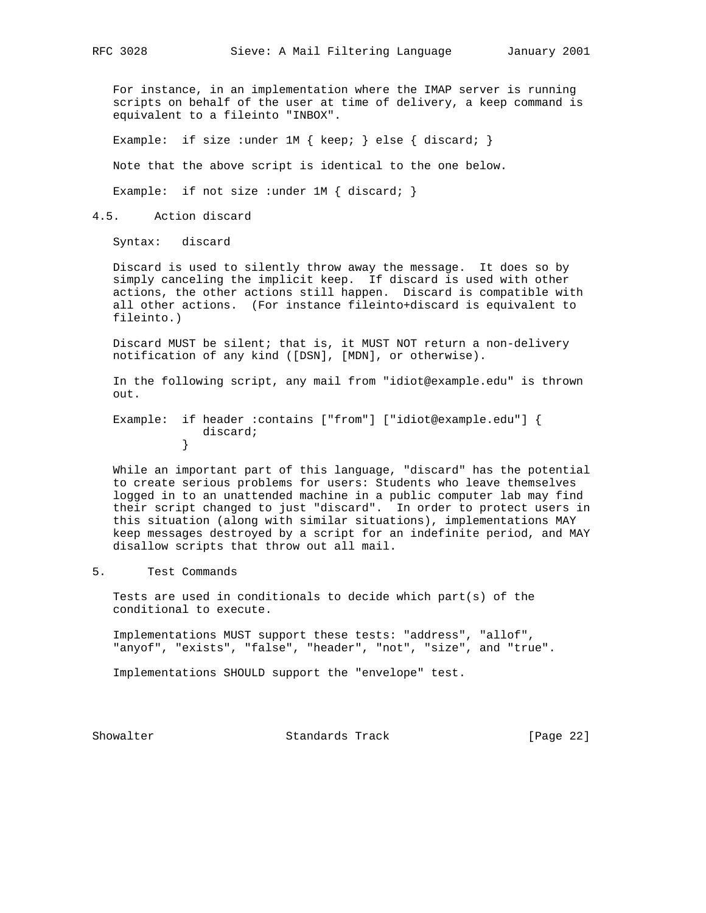For instance, in an implementation where the IMAP server is running scripts on behalf of the user at time of delivery, a keep command is equivalent to a fileinto "INBOX".

Example: if size : under 1M { keep; } else { discard; }

Note that the above script is identical to the one below.

Example: if not size : under  $1M \{ discard\}$ 

4.5. Action discard

Syntax: discard

 Discard is used to silently throw away the message. It does so by simply canceling the implicit keep. If discard is used with other actions, the other actions still happen. Discard is compatible with all other actions. (For instance fileinto+discard is equivalent to fileinto.)

 Discard MUST be silent; that is, it MUST NOT return a non-delivery notification of any kind ([DSN], [MDN], or otherwise).

 In the following script, any mail from "idiot@example.edu" is thrown out.

 Example: if header :contains ["from"] ["idiot@example.edu"] { discard;<br>} }

 While an important part of this language, "discard" has the potential to create serious problems for users: Students who leave themselves logged in to an unattended machine in a public computer lab may find their script changed to just "discard". In order to protect users in this situation (along with similar situations), implementations MAY keep messages destroyed by a script for an indefinite period, and MAY disallow scripts that throw out all mail.

#### 5. Test Commands

 Tests are used in conditionals to decide which part(s) of the conditional to execute.

 Implementations MUST support these tests: "address", "allof", "anyof", "exists", "false", "header", "not", "size", and "true".

Implementations SHOULD support the "envelope" test.

Showalter Standards Track [Page 22]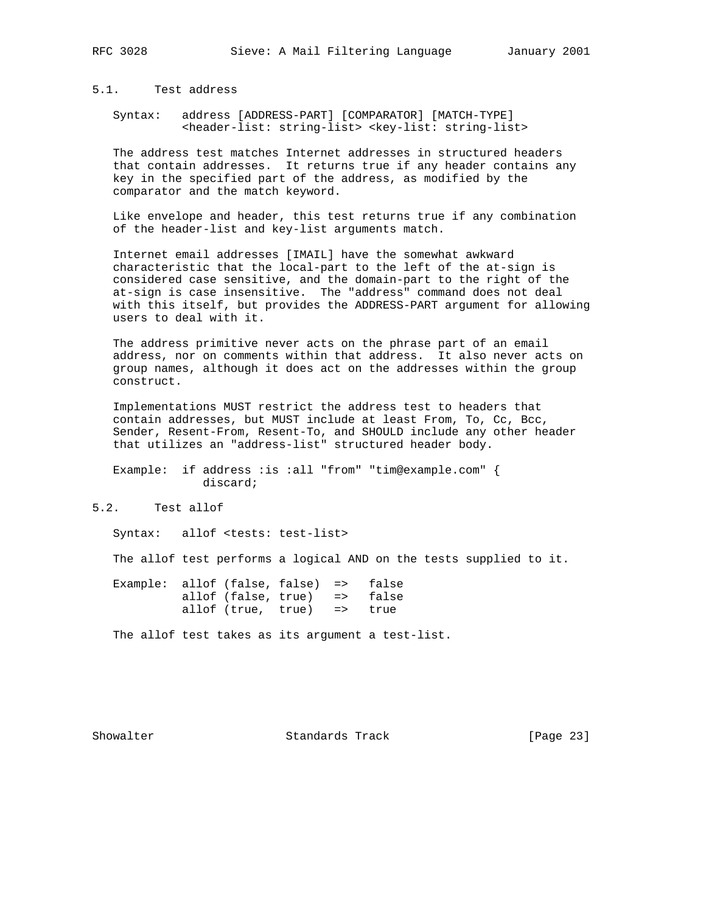## 5.1. Test address

 Syntax: address [ADDRESS-PART] [COMPARATOR] [MATCH-TYPE] <header-list: string-list> <key-list: string-list>

 The address test matches Internet addresses in structured headers that contain addresses. It returns true if any header contains any key in the specified part of the address, as modified by the comparator and the match keyword.

 Like envelope and header, this test returns true if any combination of the header-list and key-list arguments match.

 Internet email addresses [IMAIL] have the somewhat awkward characteristic that the local-part to the left of the at-sign is considered case sensitive, and the domain-part to the right of the at-sign is case insensitive. The "address" command does not deal with this itself, but provides the ADDRESS-PART argument for allowing users to deal with it.

 The address primitive never acts on the phrase part of an email address, nor on comments within that address. It also never acts on group names, although it does act on the addresses within the group construct.

 Implementations MUST restrict the address test to headers that contain addresses, but MUST include at least From, To, Cc, Bcc, Sender, Resent-From, Resent-To, and SHOULD include any other header that utilizes an "address-list" structured header body.

 Example: if address :is :all "from" "tim@example.com" { discard;

## 5.2. Test allof

Syntax: allof <tests: test-list>

The allof test performs a logical AND on the tests supplied to it.

 Example: allof (false, false) => false allof (false, true) => false allof (true, true) => true

The allof test takes as its argument a test-list.

Showalter Standards Track [Page 23]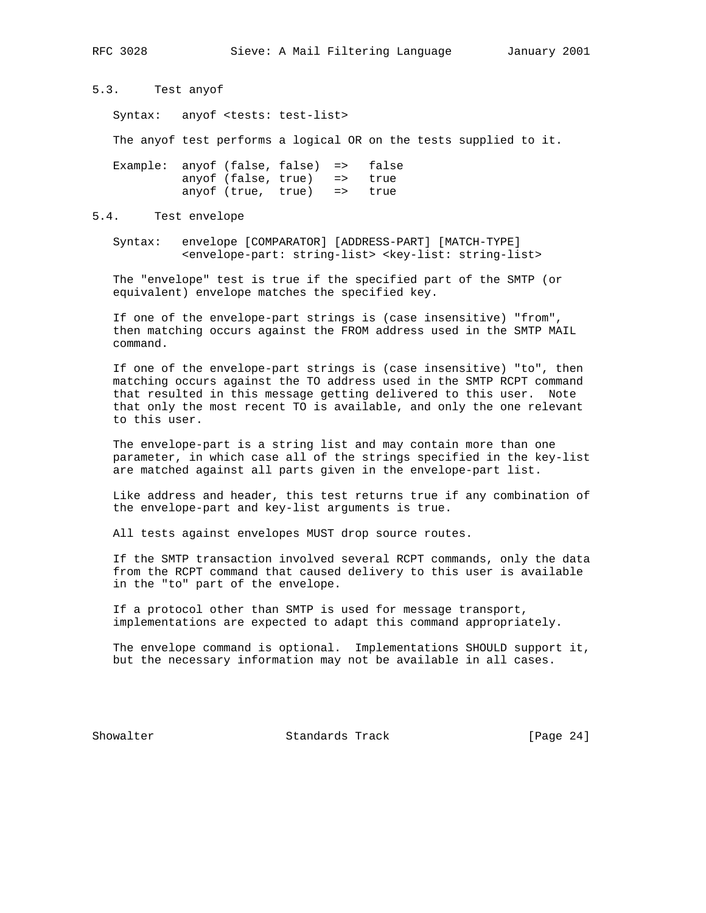5.3. Test anyof

Syntax: anyof <tests: test-list>

The anyof test performs a logical OR on the tests supplied to it.

 Example: anyof (false, false) => false anyof (false, true) => true anyof (true, true) => true

#### 5.4. Test envelope

 Syntax: envelope [COMPARATOR] [ADDRESS-PART] [MATCH-TYPE] <envelope-part: string-list> <key-list: string-list>

 The "envelope" test is true if the specified part of the SMTP (or equivalent) envelope matches the specified key.

 If one of the envelope-part strings is (case insensitive) "from", then matching occurs against the FROM address used in the SMTP MAIL command.

 If one of the envelope-part strings is (case insensitive) "to", then matching occurs against the TO address used in the SMTP RCPT command that resulted in this message getting delivered to this user. Note that only the most recent TO is available, and only the one relevant to this user.

 The envelope-part is a string list and may contain more than one parameter, in which case all of the strings specified in the key-list are matched against all parts given in the envelope-part list.

 Like address and header, this test returns true if any combination of the envelope-part and key-list arguments is true.

All tests against envelopes MUST drop source routes.

 If the SMTP transaction involved several RCPT commands, only the data from the RCPT command that caused delivery to this user is available in the "to" part of the envelope.

 If a protocol other than SMTP is used for message transport, implementations are expected to adapt this command appropriately.

 The envelope command is optional. Implementations SHOULD support it, but the necessary information may not be available in all cases.

Showalter Standards Track [Page 24]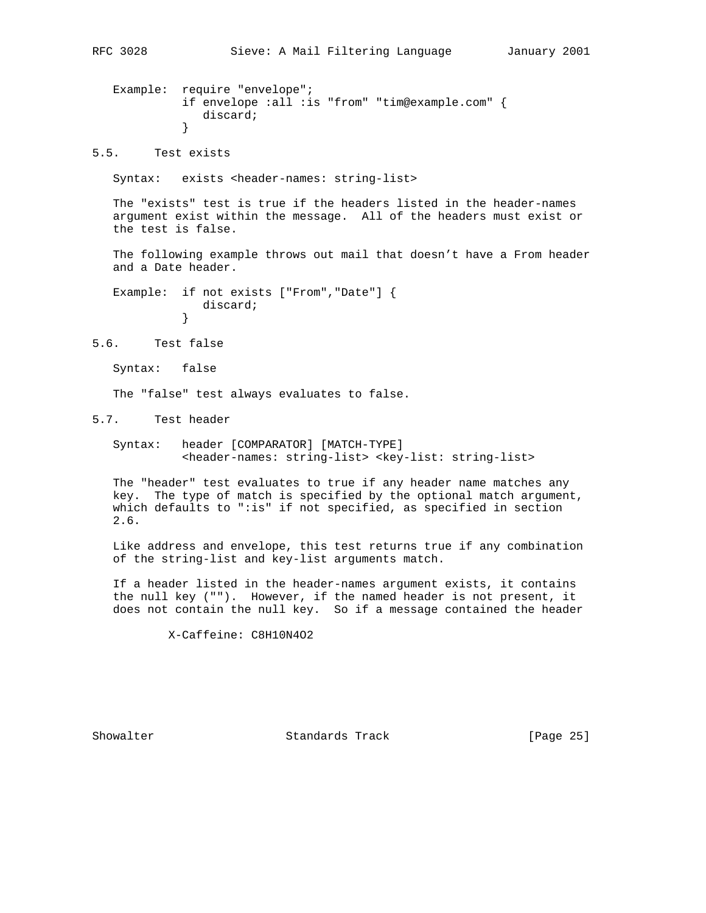```
 Example: require "envelope";
            if envelope :all :is "from" "tim@example.com" {
               discard;
 }
```
5.5. Test exists

Syntax: exists <header-names: string-list>

 The "exists" test is true if the headers listed in the header-names argument exist within the message. All of the headers must exist or the test is false.

 The following example throws out mail that doesn't have a From header and a Date header.

 Example: if not exists ["From","Date"] { discard;<br>} }

5.6. Test false

Syntax: false

The "false" test always evaluates to false.

5.7. Test header

 Syntax: header [COMPARATOR] [MATCH-TYPE] <header-names: string-list> <key-list: string-list>

 The "header" test evaluates to true if any header name matches any key. The type of match is specified by the optional match argument, which defaults to ":is" if not specified, as specified in section 2.6.

 Like address and envelope, this test returns true if any combination of the string-list and key-list arguments match.

 If a header listed in the header-names argument exists, it contains the null key (""). However, if the named header is not present, it does not contain the null key. So if a message contained the header

X-Caffeine: C8H10N4O2

Showalter Standards Track [Page 25]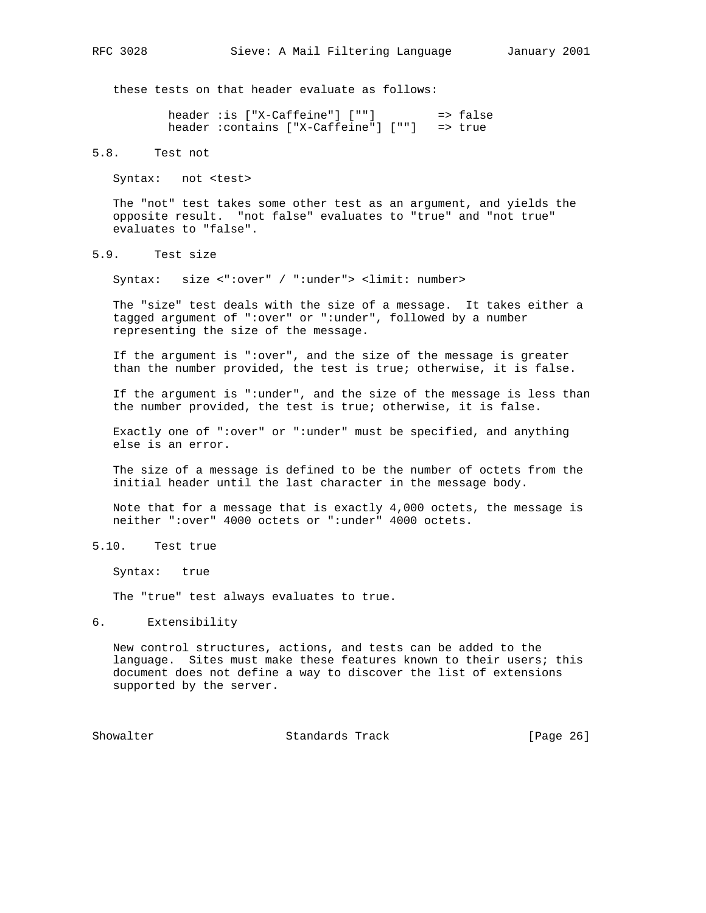these tests on that header evaluate as follows:

 header :is ["X-Caffeine"] [""] => false header :contains ["X-Caffeine"] [""] => true

5.8. Test not

Syntax: not <test>

 The "not" test takes some other test as an argument, and yields the opposite result. "not false" evaluates to "true" and "not true" evaluates to "false".

5.9. Test size

Syntax: size <":over" / ":under"> <limit: number>

 The "size" test deals with the size of a message. It takes either a tagged argument of ":over" or ":under", followed by a number representing the size of the message.

 If the argument is ":over", and the size of the message is greater than the number provided, the test is true; otherwise, it is false.

 If the argument is ":under", and the size of the message is less than the number provided, the test is true; otherwise, it is false.

 Exactly one of ":over" or ":under" must be specified, and anything else is an error.

 The size of a message is defined to be the number of octets from the initial header until the last character in the message body.

 Note that for a message that is exactly 4,000 octets, the message is neither ":over" 4000 octets or ":under" 4000 octets.

5.10. Test true

Syntax: true

The "true" test always evaluates to true.

6. Extensibility

 New control structures, actions, and tests can be added to the language. Sites must make these features known to their users; this document does not define a way to discover the list of extensions supported by the server.

Showalter **Standards Track** [Page 26]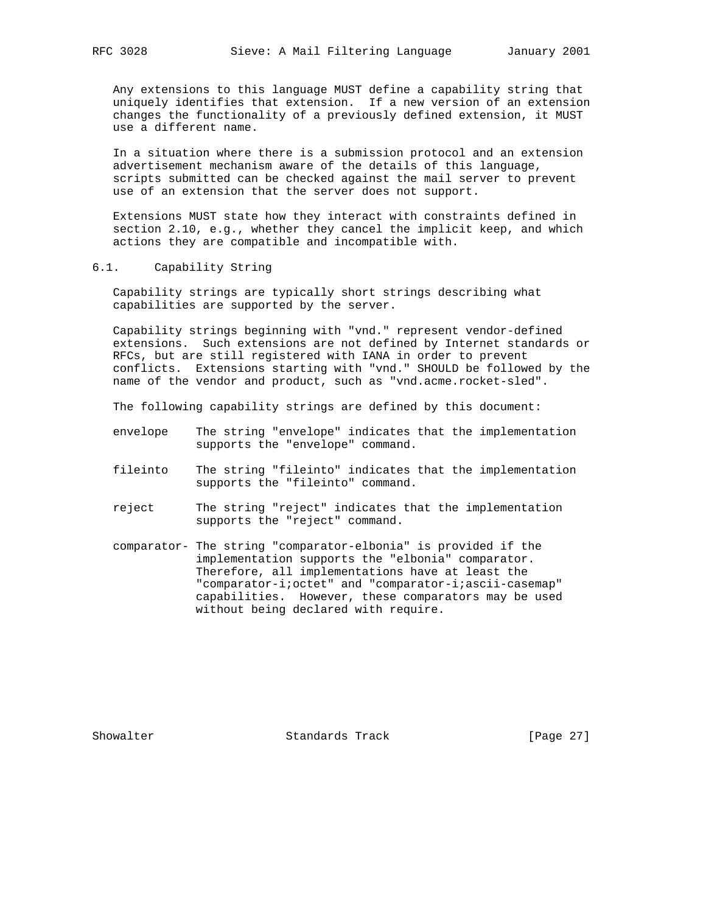Any extensions to this language MUST define a capability string that uniquely identifies that extension. If a new version of an extension changes the functionality of a previously defined extension, it MUST use a different name.

 In a situation where there is a submission protocol and an extension advertisement mechanism aware of the details of this language, scripts submitted can be checked against the mail server to prevent use of an extension that the server does not support.

 Extensions MUST state how they interact with constraints defined in section 2.10, e.g., whether they cancel the implicit keep, and which actions they are compatible and incompatible with.

### 6.1. Capability String

 Capability strings are typically short strings describing what capabilities are supported by the server.

 Capability strings beginning with "vnd." represent vendor-defined extensions. Such extensions are not defined by Internet standards or RFCs, but are still registered with IANA in order to prevent conflicts. Extensions starting with "vnd." SHOULD be followed by the name of the vendor and product, such as "vnd.acme.rocket-sled".

The following capability strings are defined by this document:

- envelope The string "envelope" indicates that the implementation supports the "envelope" command.
- fileinto The string "fileinto" indicates that the implementation supports the "fileinto" command.
- reject The string "reject" indicates that the implementation supports the "reject" command.
- comparator- The string "comparator-elbonia" is provided if the implementation supports the "elbonia" comparator. Therefore, all implementations have at least the "comparator-i;octet" and "comparator-i;ascii-casemap" capabilities. However, these comparators may be used without being declared with require.

Showalter Standards Track [Page 27]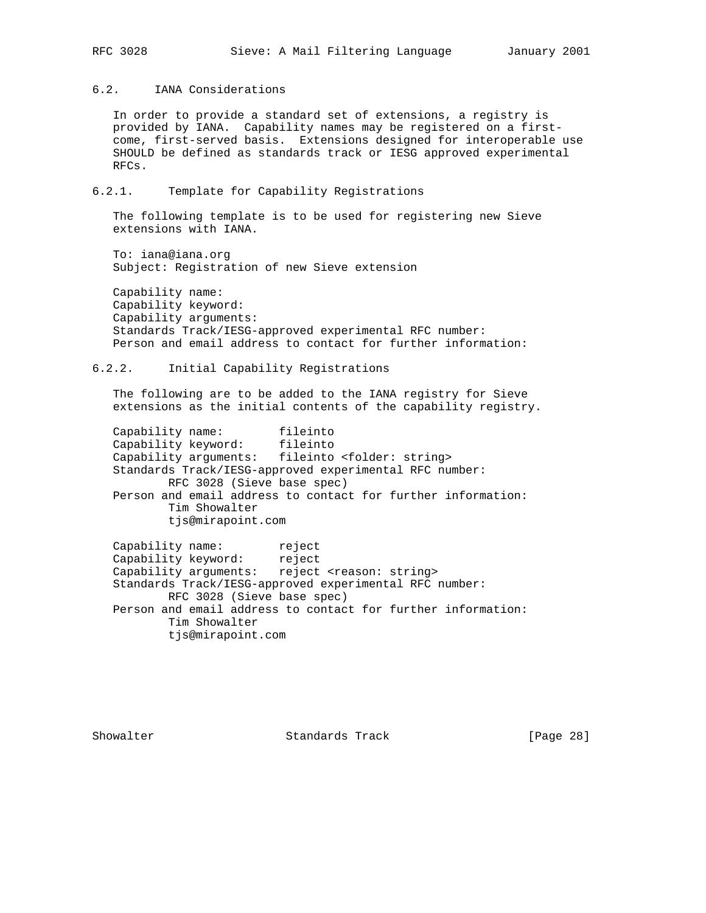## 6.2. IANA Considerations

 In order to provide a standard set of extensions, a registry is provided by IANA. Capability names may be registered on a first come, first-served basis. Extensions designed for interoperable use SHOULD be defined as standards track or IESG approved experimental RFCs.

## 6.2.1. Template for Capability Registrations

 The following template is to be used for registering new Sieve extensions with IANA.

 To: iana@iana.org Subject: Registration of new Sieve extension

 Capability name: Capability keyword: Capability arguments: Standards Track/IESG-approved experimental RFC number: Person and email address to contact for further information:

## 6.2.2. Initial Capability Registrations

 The following are to be added to the IANA registry for Sieve extensions as the initial contents of the capability registry.

Capability name: fileinto<br>Capability keyword: fileinto Capability keyword: fileinto Capability arguments: fileinto <folder: string> Standards Track/IESG-approved experimental RFC number: RFC 3028 (Sieve base spec) Person and email address to contact for further information: Tim Showalter tjs@mirapoint.com

Capability name: The reject Capability keyword: reject Capability keyword: reject<br>Capability arguments: reject <reason: string> Standards Track/IESG-approved experimental RFC number: RFC 3028 (Sieve base spec) Person and email address to contact for further information: Tim Showalter tjs@mirapoint.com

Showalter Standards Track [Page 28]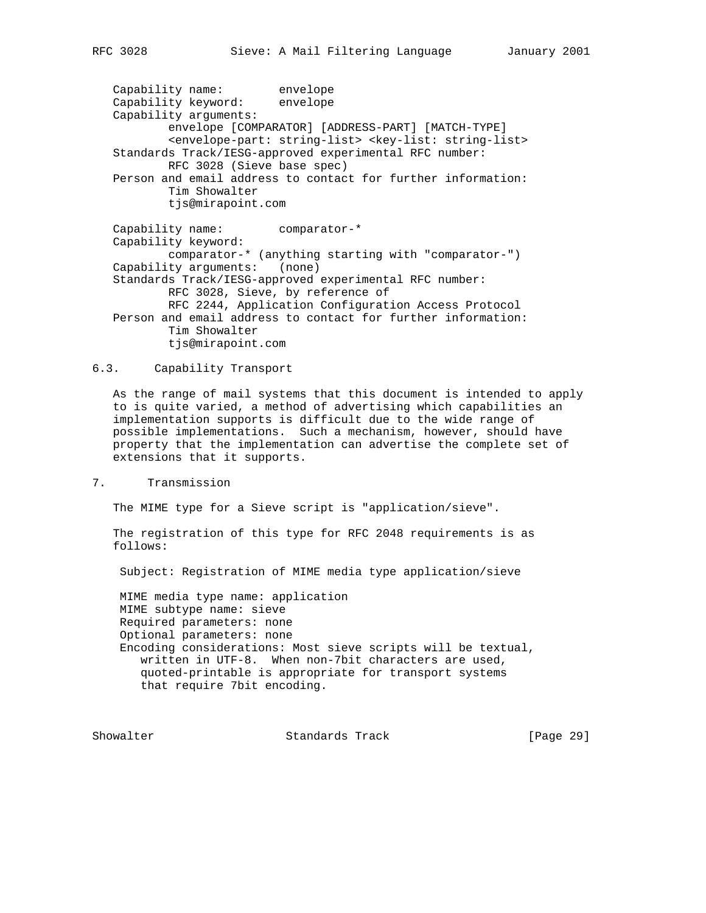Capability name: envelope Capability keyword: envelope Capability arguments: envelope [COMPARATOR] [ADDRESS-PART] [MATCH-TYPE] <envelope-part: string-list> <key-list: string-list> Standards Track/IESG-approved experimental RFC number: RFC 3028 (Sieve base spec) Person and email address to contact for further information: Tim Showalter tjs@mirapoint.com Capability name: comparator-\* Capability keyword: comparator-\* (anything starting with "comparator-") Capability arguments: (none)

 Standards Track/IESG-approved experimental RFC number: RFC 3028, Sieve, by reference of RFC 2244, Application Configuration Access Protocol Person and email address to contact for further information: Tim Showalter tjs@mirapoint.com

#### 6.3. Capability Transport

 As the range of mail systems that this document is intended to apply to is quite varied, a method of advertising which capabilities an implementation supports is difficult due to the wide range of possible implementations. Such a mechanism, however, should have property that the implementation can advertise the complete set of extensions that it supports.

7. Transmission

The MIME type for a Sieve script is "application/sieve".

 The registration of this type for RFC 2048 requirements is as follows:

Subject: Registration of MIME media type application/sieve

 MIME media type name: application MIME subtype name: sieve Required parameters: none Optional parameters: none Encoding considerations: Most sieve scripts will be textual, written in UTF-8. When non-7bit characters are used, quoted-printable is appropriate for transport systems that require 7bit encoding.

Showalter **Standards Track** [Page 29]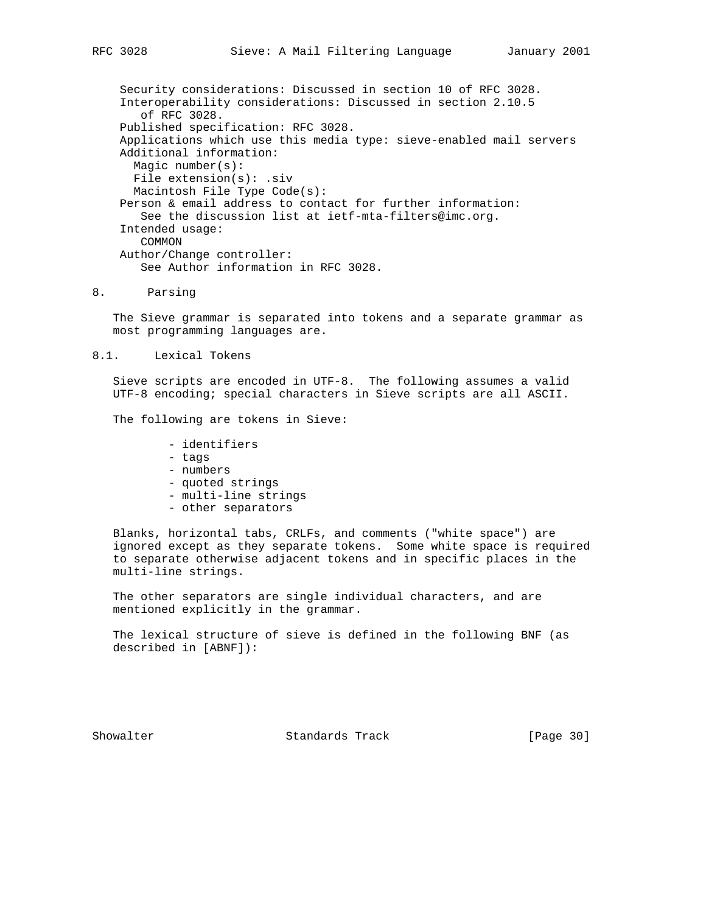Security considerations: Discussed in section 10 of RFC 3028. Interoperability considerations: Discussed in section 2.10.5 of RFC 3028. Published specification: RFC 3028. Applications which use this media type: sieve-enabled mail servers Additional information: Magic number(s): File extension(s): .siv Macintosh File Type Code(s): Person & email address to contact for further information: See the discussion list at ietf-mta-filters@imc.org. Intended usage: COMMON Author/Change controller: See Author information in RFC 3028.

8. Parsing

 The Sieve grammar is separated into tokens and a separate grammar as most programming languages are.

8.1. Lexical Tokens

 Sieve scripts are encoded in UTF-8. The following assumes a valid UTF-8 encoding; special characters in Sieve scripts are all ASCII.

The following are tokens in Sieve:

- identifiers
- tags
- numbers
- quoted strings
- multi-line strings
- other separators

 Blanks, horizontal tabs, CRLFs, and comments ("white space") are ignored except as they separate tokens. Some white space is required to separate otherwise adjacent tokens and in specific places in the multi-line strings.

 The other separators are single individual characters, and are mentioned explicitly in the grammar.

 The lexical structure of sieve is defined in the following BNF (as described in [ABNF]):

Showalter Standards Track [Page 30]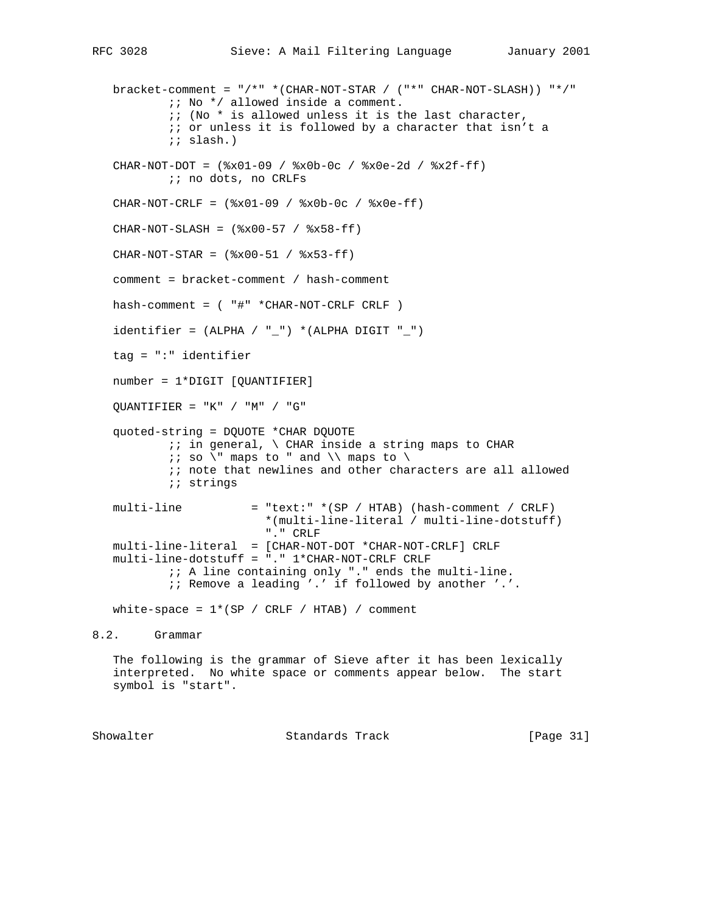bracket-comment = "/\*" \*(CHAR-NOT-STAR / ("\*" CHAR-NOT-SLASH)) "\*/" ;; No \*/ allowed inside a comment.  $i:$  (No  $*$  is allowed unless it is the last character, ;; or unless it is followed by a character that isn't a ;; slash.) CHAR-NOT-DOT = (%x01-09 / %x0b-0c / %x0e-2d / %x2f-ff) ;; no dots, no CRLFs  $CHAR-NOT-CRLF =$   $(*x01-09 / *x0b-0c / *x0e-ff)$  $CHAR-NOT-SLASH =$  (  $x00-57$  /  $x58-ff$ )  $CHAR-NOT-STAR =$  ( $x00-51 / 8x53-ff$ ) comment = bracket-comment / hash-comment hash-comment = ( "#" \*CHAR-NOT-CRLF CRLF ) identifier =  $(ALPHA / "__") * (ALPHA DIGIT "__")$  tag = ":" identifier number = 1\*DIGIT [QUANTIFIER]  $QUANTIFIER = "K" / "M" / "G"$  quoted-string = DQUOTE \*CHAR DQUOTE  $i$ ; in general,  $\setminus$  CHAR inside a string maps to CHAR  $i: so \setminus " maps to " and \setminus maps to \setminus ...$  $\forall i$  note that newlines and other characters are all allowed *i*; strings multi-line = "text:" \*(SP / HTAB) (hash-comment / CRLF) \*(multi-line-literal / multi-line-dotstuff) "." CRLF multi-line-literal = [CHAR-NOT-DOT \*CHAR-NOT-CRLF] CRLF multi-line-dotstuff = "." 1\*CHAR-NOT-CRLF CRLF ;; A line containing only "." ends the multi-line. ;; Remove a leading '.' if followed by another '.'. white-space =  $1*(SP / CRLF / HTAB) / comment$ 8.2. Grammar The following is the grammar of Sieve after it has been lexically interpreted. No white space or comments appear below. The start symbol is "start".

Showalter Standards Track [Page 31]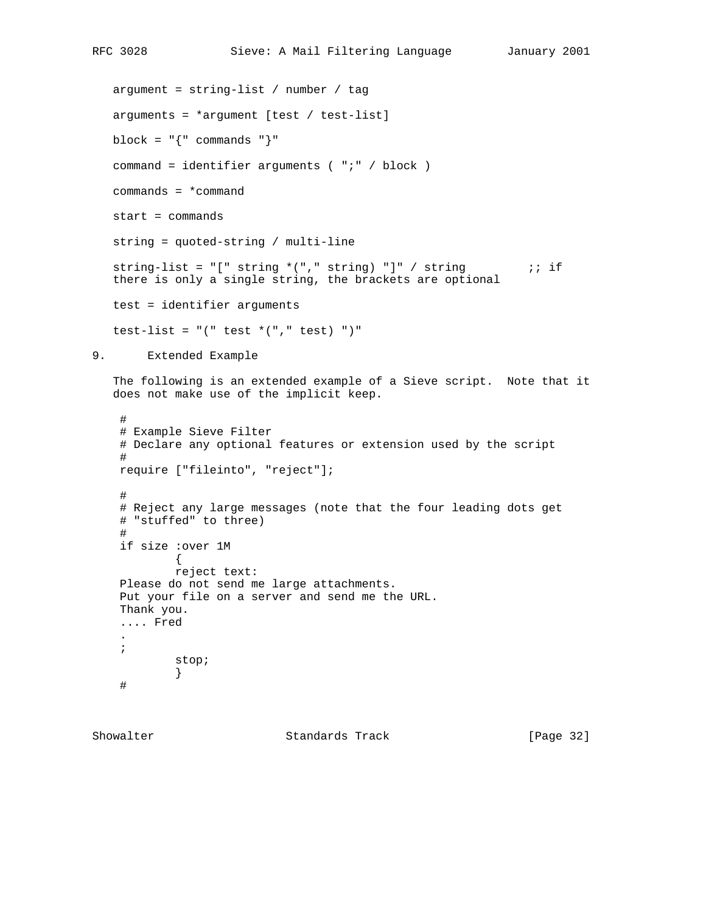```
RFC 3028 Sieve: A Mail Filtering Language January 2001
```

```
 argument = string-list / number / tag
    arguments = *argument [test / test-list]
  block = \lceil \cdot \rceil commands \lceil \cdot \rceil command = identifier arguments ( ";" / block )
    commands = *command
   start = commands
   string = quoted-string / multi-line
   string-list = "[" string *(", " string) "]" / string "; if
    there is only a single string, the brackets are optional
   test = identifier arguments
   test-list = "(" test * ("," test) "")"9. Extended Example
    The following is an extended example of a Sieve script. Note that it
    does not make use of the implicit keep.
     #
     # Example Sieve Filter
     # Declare any optional features or extension used by the script
     #
    require ["fileinto", "reject"];
     #
     # Reject any large messages (note that the four leading dots get
     # "stuffed" to three)
     #
     if size :over 1M
            \mathcal{A} reject text:
     Please do not send me large attachments.
     Put your file on a server and send me the URL.
     Thank you.
     .... Fred
 .
     ;
             stop;
 }
     #
```
Showalter Standards Track [Page 32]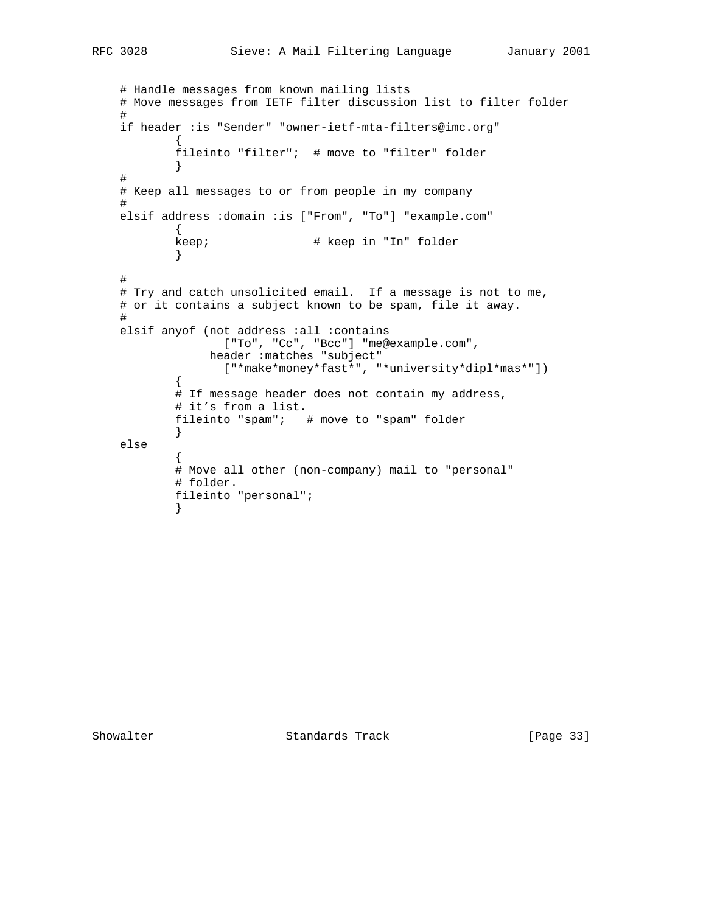```
 # Handle messages from known mailing lists
    # Move messages from IETF filter discussion list to filter folder
    #
    if header :is "Sender" "owner-ietf-mta-filters@imc.org"
\{ fileinto "filter"; # move to "filter" folder
 }
    #
    # Keep all messages to or from people in my company
    #
    elsif address :domain :is ["From", "To"] "example.com"
\{keep; \qquad \qquad \qquad \text{# keep in "In" folder} }
    #
    # Try and catch unsolicited email. If a message is not to me,
    # or it contains a subject known to be spam, file it away.
    #
    elsif anyof (not address :all :contains
                  ["To", "Cc", "Bcc"] "me@example.com",
                header :matches "subject"
                  ["*make*money*fast*", "*university*dipl*mas*"])
\{# If message header does not contain my address,
            # it's from a list.
            fileinto "spam"; # move to "spam" folder
 }
    else
\{ # Move all other (non-company) mail to "personal"
            # folder.
           fileinto "personal";
 }
```
Showalter Standards Track [Page 33]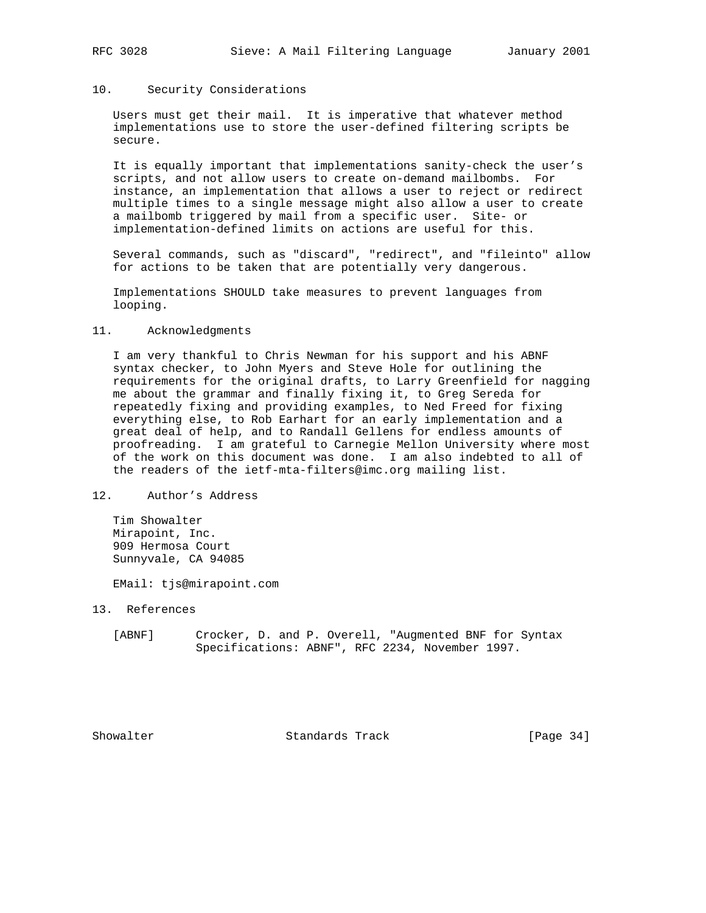#### 10. Security Considerations

 Users must get their mail. It is imperative that whatever method implementations use to store the user-defined filtering scripts be secure.

 It is equally important that implementations sanity-check the user's scripts, and not allow users to create on-demand mailbombs. For instance, an implementation that allows a user to reject or redirect multiple times to a single message might also allow a user to create a mailbomb triggered by mail from a specific user. Site- or implementation-defined limits on actions are useful for this.

 Several commands, such as "discard", "redirect", and "fileinto" allow for actions to be taken that are potentially very dangerous.

 Implementations SHOULD take measures to prevent languages from looping.

#### 11. Acknowledgments

 I am very thankful to Chris Newman for his support and his ABNF syntax checker, to John Myers and Steve Hole for outlining the requirements for the original drafts, to Larry Greenfield for nagging me about the grammar and finally fixing it, to Greg Sereda for repeatedly fixing and providing examples, to Ned Freed for fixing everything else, to Rob Earhart for an early implementation and a great deal of help, and to Randall Gellens for endless amounts of proofreading. I am grateful to Carnegie Mellon University where most of the work on this document was done. I am also indebted to all of the readers of the ietf-mta-filters@imc.org mailing list.

#### 12. Author's Address

 Tim Showalter Mirapoint, Inc. 909 Hermosa Court Sunnyvale, CA 94085

EMail: tjs@mirapoint.com

13. References

 [ABNF] Crocker, D. and P. Overell, "Augmented BNF for Syntax Specifications: ABNF", RFC 2234, November 1997.

Showalter Standards Track [Page 34]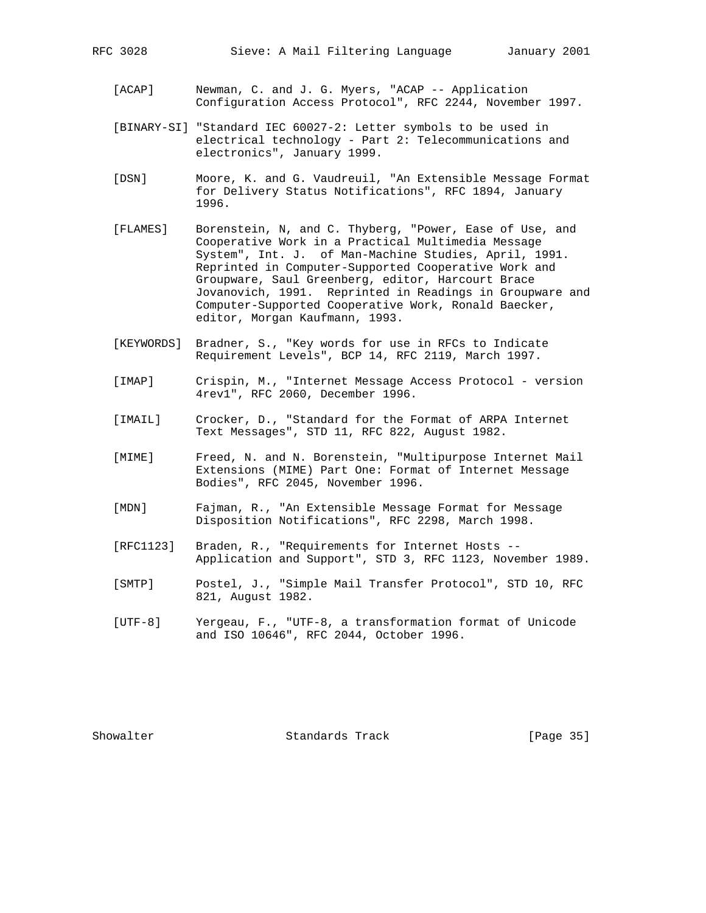- [ACAP] Newman, C. and J. G. Myers, "ACAP -- Application Configuration Access Protocol", RFC 2244, November 1997.
- [BINARY-SI] "Standard IEC 60027-2: Letter symbols to be used in electrical technology - Part 2: Telecommunications and electronics", January 1999.
- [DSN] Moore, K. and G. Vaudreuil, "An Extensible Message Format for Delivery Status Notifications", RFC 1894, January 1996.
- [FLAMES] Borenstein, N, and C. Thyberg, "Power, Ease of Use, and Cooperative Work in a Practical Multimedia Message System", Int. J. of Man-Machine Studies, April, 1991. Reprinted in Computer-Supported Cooperative Work and Groupware, Saul Greenberg, editor, Harcourt Brace Jovanovich, 1991. Reprinted in Readings in Groupware and Computer-Supported Cooperative Work, Ronald Baecker, editor, Morgan Kaufmann, 1993.
- [KEYWORDS] Bradner, S., "Key words for use in RFCs to Indicate Requirement Levels", BCP 14, RFC 2119, March 1997.
- [IMAP] Crispin, M., "Internet Message Access Protocol version 4rev1", RFC 2060, December 1996.
- [IMAIL] Crocker, D., "Standard for the Format of ARPA Internet Text Messages", STD 11, RFC 822, August 1982.
- [MIME] Freed, N. and N. Borenstein, "Multipurpose Internet Mail Extensions (MIME) Part One: Format of Internet Message Bodies", RFC 2045, November 1996.
- [MDN] Fajman, R., "An Extensible Message Format for Message Disposition Notifications", RFC 2298, March 1998.
- [RFC1123] Braden, R., "Requirements for Internet Hosts -- Application and Support", STD 3, RFC 1123, November 1989.
- [SMTP] Postel, J., "Simple Mail Transfer Protocol", STD 10, RFC 821, August 1982.
- [UTF-8] Yergeau, F., "UTF-8, a transformation format of Unicode and ISO 10646", RFC 2044, October 1996.

Showalter Standards Track [Page 35]